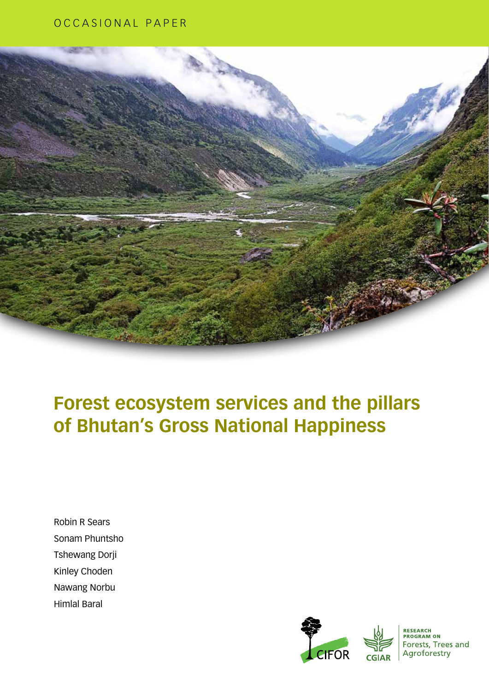### OCCASIONAL PAPER



# **Forest ecosystem services and the pillars of Bhutan's Gross National Happiness**

Robin R Sears Sonam Phuntsho Tshewang Dorji Kinley Choden Nawang Norbu Himlal Baral





**RESEARCH<br>PROGRAM ON** Forests, Trees and Agroforestry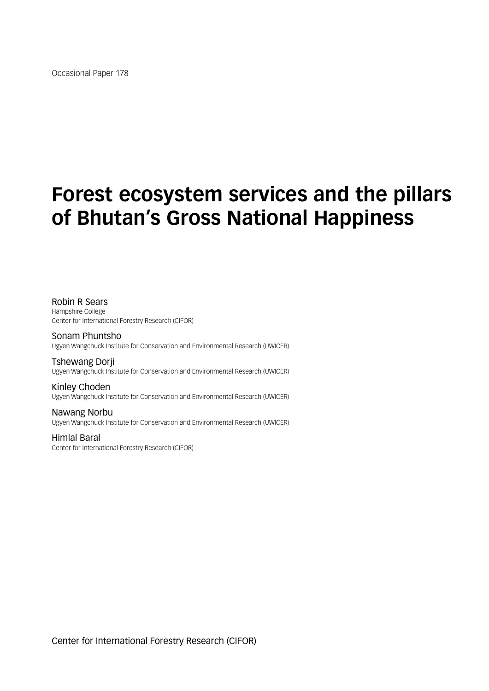Occasional Paper 178

# **Forest ecosystem services and the pillars of Bhutan's Gross National Happiness**

Robin R Sears Hampshire College Center for International Forestry Research (CIFOR)

Sonam Phuntsho Ugyen Wangchuck Institute for Conservation and Environmental Research (UWICER)

Tshewang Dorji Ugyen Wangchuck Institute for Conservation and Environmental Research (UWICER)

Kinley Choden Ugyen Wangchuck Institute for Conservation and Environmental Research (UWICER)

Nawang Norbu Ugyen Wangchuck Institute for Conservation and Environmental Research (UWICER)

Himlal Baral Center for International Forestry Research (CIFOR)

Center for International Forestry Research (CIFOR)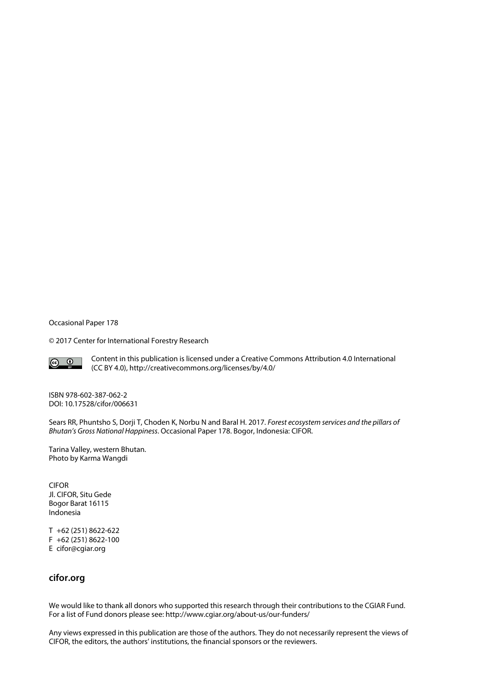Occasional Paper 178

© 2017 Center for International Forestry Research



Content in this publication is licensed under a Creative Commons Attribution 4.0 International (CC BY 4.0), http://creativecommons.org/licenses/by/4.0/

ISBN 978-602-387-062-2 [DOI: 10.17528/cifor/006631](10.17528/cifor/006524)

Sears RR, Phuntsho S, Dorji T, Choden K, Norbu N and Baral H. 2017. *Forest ecosystem services and the pillars of Bhutan's Gross National Happiness*. Occasional Paper 178. Bogor, Indonesia: CIFOR.

Tarina Valley, western Bhutan. Photo by Karma Wangdi

CIFOR Jl. CIFOR, Situ Gede Bogor Barat 16115 Indonesia

T +62 (251) 8622-622 F +62 (251) 8622-100 E [cifor@cgiar.org](mailto:cifor@cgiar.org)

### **<cifor.org>**

We would like to thank all donors who supported this research through their contributions to the CGIAR Fund. For a list of Fund donors please see: http://www.cgiar.org/about-us/our-funders/

Any views expressed in this publication are those of the authors. They do not necessarily represent the views of CIFOR, the editors, the authors' institutions, the financial sponsors or the reviewers.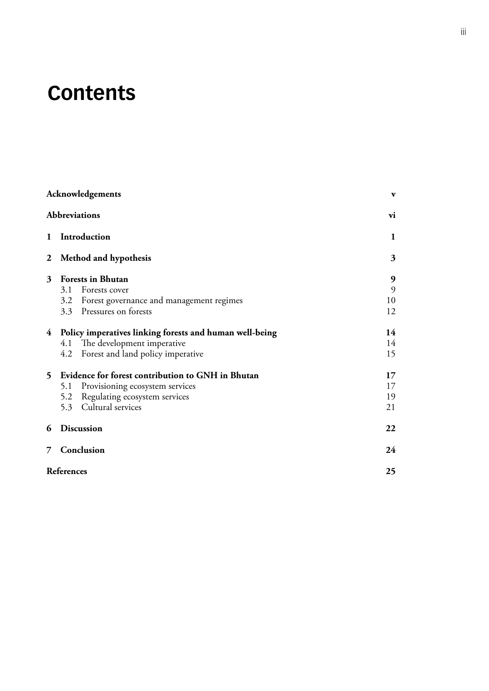# **Contents**

|   | Acknowledgements                                                                                                                                             | $\mathbf{v}$                      |
|---|--------------------------------------------------------------------------------------------------------------------------------------------------------------|-----------------------------------|
|   | <b>Abbreviations</b>                                                                                                                                         | vi                                |
| 1 | Introduction                                                                                                                                                 | 1                                 |
| 2 | Method and hypothesis                                                                                                                                        | 3                                 |
| 3 | <b>Forests in Bhutan</b><br>Forests cover<br>3.1<br>3.2 Forest governance and management regimes<br>3.3 Pressures on forests                                 | $\boldsymbol{9}$<br>9<br>10<br>12 |
|   | 4 Policy imperatives linking forests and human well-being<br>4.1 The development imperative<br>4.2 Forest and land policy imperative                         | 14<br>14<br>15                    |
| 5 | Evidence for forest contribution to GNH in Bhutan<br>Provisioning ecosystem services<br>5.1<br>Regulating ecosystem services<br>5.2<br>5.3 Cultural services | 17<br>17<br>19<br>21              |
| 6 | <b>Discussion</b>                                                                                                                                            | 22                                |
| 7 | Conclusion                                                                                                                                                   | 24                                |
|   | References                                                                                                                                                   | 25                                |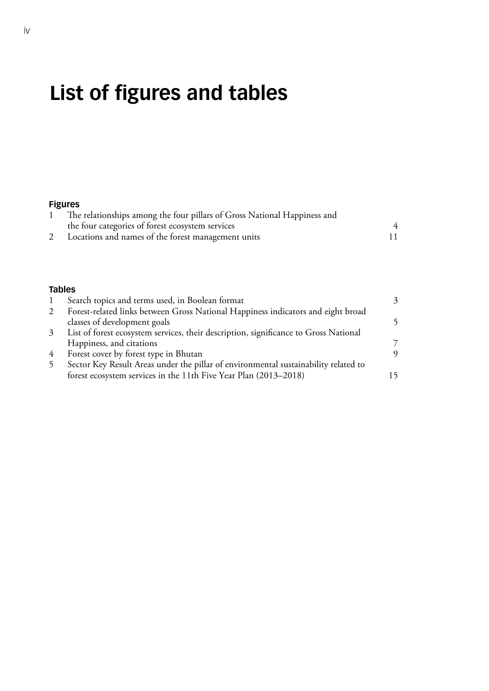# **List of figures and tables**

### **[Figures](#page-11-0)**

| The relationships among the four pillars of Gross National Happiness and |  |
|--------------------------------------------------------------------------|--|
| the four categories of forest ecosystem services                         |  |
| Locations and names of the forest management units                       |  |
|                                                                          |  |

#### **[Tables](#page-10-0)**

|   | Search topics and terms used, in Boolean format                                      | 3 |
|---|--------------------------------------------------------------------------------------|---|
|   | Forest-related links between Gross National Happiness indicators and eight broad     |   |
|   | classes of development goals                                                         |   |
| 3 | List of forest ecosystem services, their description, significance to Gross National |   |
|   | Happiness, and citations                                                             |   |
| 4 | Forest cover by forest type in Bhutan                                                | 9 |
|   | Sector Key Result Areas under the pillar of environmental sustainability related to  |   |
|   | forest ecosystem services in the 11th Five Year Plan (2013–2018)                     |   |
|   |                                                                                      |   |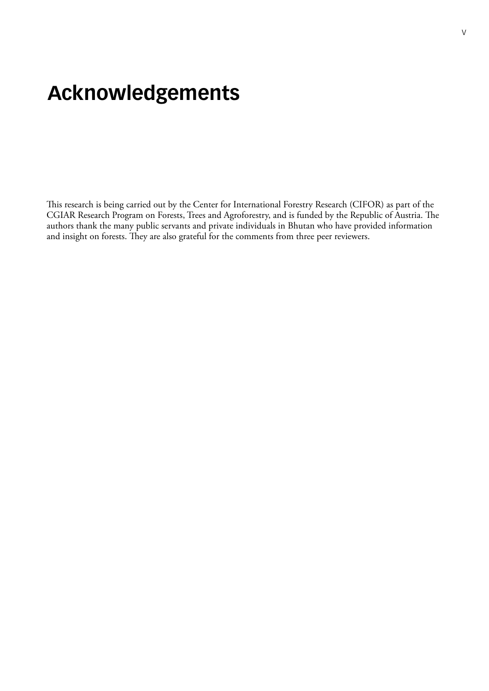# <span id="page-6-0"></span>**Acknowledgements**

This research is being carried out by the Center for International Forestry Research (CIFOR) as part of the CGIAR Research Program on Forests, Trees and Agroforestry, and is funded by the Republic of Austria. The authors thank the many public servants and private individuals in Bhutan who have provided information and insight on forests. They are also grateful for the comments from three peer reviewers.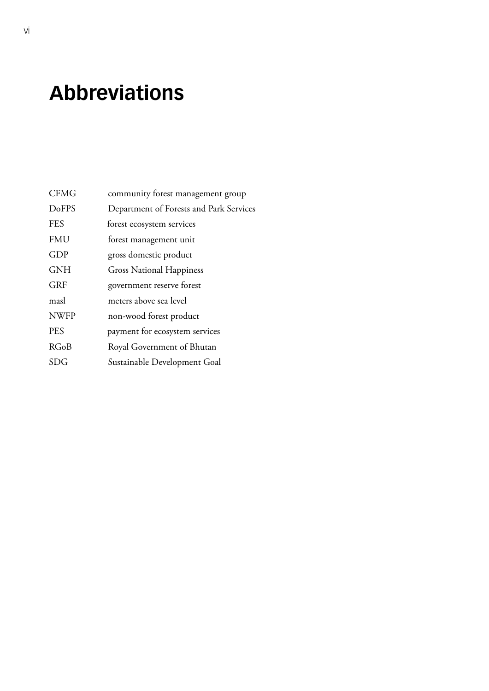# <span id="page-7-0"></span>**Abbreviations**

| <b>CFMG</b>  | community forest management group       |
|--------------|-----------------------------------------|
| <b>DoFPS</b> | Department of Forests and Park Services |
| <b>FES</b>   | forest ecosystem services               |
| <b>FMU</b>   | forest management unit                  |
| GDP          | gross domestic product                  |
| <b>GNH</b>   | <b>Gross National Happiness</b>         |
| <b>GRF</b>   | government reserve forest               |
| masl         | meters above sea level                  |
| <b>NWFP</b>  | non-wood forest product                 |
| <b>PES</b>   | payment for ecosystem services          |
| <b>RGoB</b>  | Royal Government of Bhutan              |
| SDG          | Sustainable Development Goal            |
|              |                                         |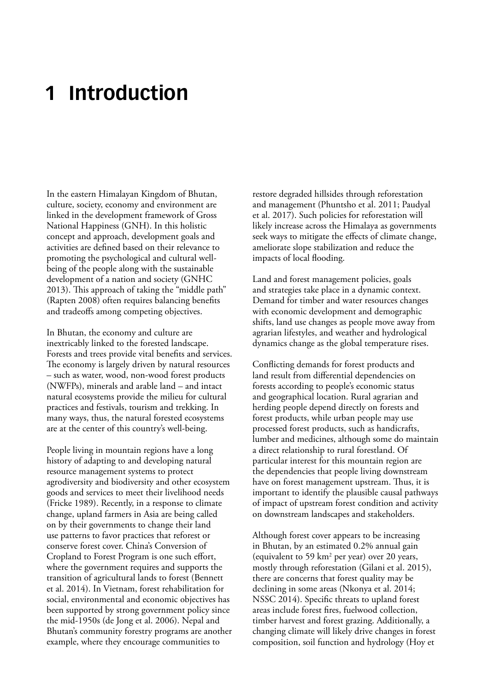# <span id="page-8-0"></span>**1 Introduction**

In the eastern Himalayan Kingdom of Bhutan, culture, society, economy and environment are linked in the development framework of Gross National Happiness (GNH). In this holistic concept and approach, development goals and activities are defined based on their relevance to promoting the psychological and cultural wellbeing of the people along with the sustainable development of a nation and society (GNHC 2013). This approach of taking the "middle path" (Rapten 2008) often requires balancing benefits and tradeoffs among competing objectives.

In Bhutan, the economy and culture are inextricably linked to the forested landscape. Forests and trees provide vital benefits and services. The economy is largely driven by natural resources – such as water, wood, non-wood forest products (NWFPs), minerals and arable land – and intact natural ecosystems provide the milieu for cultural practices and festivals, tourism and trekking. In many ways, thus, the natural forested ecosystems are at the center of this country's well-being.

People living in mountain regions have a long history of adapting to and developing natural resource management systems to protect agrodiversity and biodiversity and other ecosystem goods and services to meet their livelihood needs (Fricke 1989). Recently, in a response to climate change, upland farmers in Asia are being called on by their governments to change their land use patterns to favor practices that reforest or conserve forest cover. China's Conversion of Cropland to Forest Program is one such effort, where the government requires and supports the transition of agricultural lands to forest (Bennett et al. 2014). In Vietnam, forest rehabilitation for social, environmental and economic objectives has been supported by strong government policy since the mid-1950s (de Jong et al. 2006). Nepal and Bhutan's community forestry programs are another example, where they encourage communities to

restore degraded hillsides through reforestation and management (Phuntsho et al. 2011; Paudyal et al. 2017). Such policies for reforestation will likely increase across the Himalaya as governments seek ways to mitigate the effects of climate change, ameliorate slope stabilization and reduce the impacts of local flooding.

Land and forest management policies, goals and strategies take place in a dynamic context. Demand for timber and water resources changes with economic development and demographic shifts, land use changes as people move away from agrarian lifestyles, and weather and hydrological dynamics change as the global temperature rises.

Conflicting demands for forest products and land result from differential dependencies on forests according to people's economic status and geographical location. Rural agrarian and herding people depend directly on forests and forest products, while urban people may use processed forest products, such as handicrafts, lumber and medicines, although some do maintain a direct relationship to rural forestland. Of particular interest for this mountain region are the dependencies that people living downstream have on forest management upstream. Thus, it is important to identify the plausible causal pathways of impact of upstream forest condition and activity on downstream landscapes and stakeholders.

Although forest cover appears to be increasing in Bhutan, by an estimated 0.2% annual gain (equivalent to 59 km2 per year) over 20 years, mostly through reforestation (Gilani et al. 2015), there are concerns that forest quality may be declining in some areas (Nkonya et al. 2014; NSSC 2014). Specific threats to upland forest areas include forest fires, fuelwood collection, timber harvest and forest grazing. Additionally, a changing climate will likely drive changes in forest composition, soil function and hydrology (Hoy et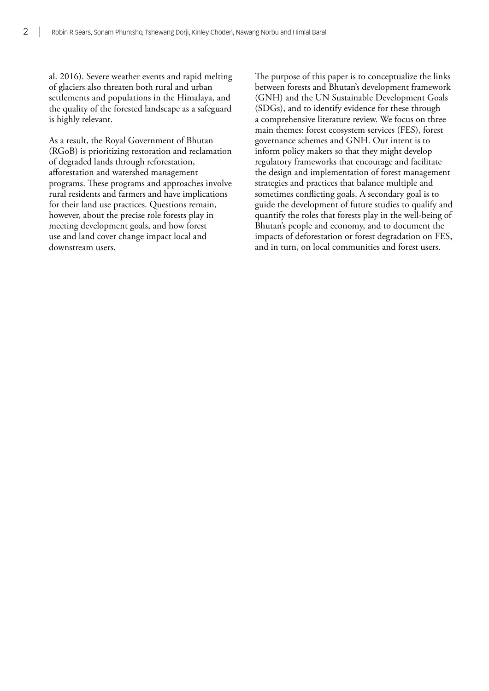al. 2016). Severe weather events and rapid melting of glaciers also threaten both rural and urban settlements and populations in the Himalaya, and the quality of the forested landscape as a safeguard is highly relevant.

As a result, the Royal Government of Bhutan (RGoB) is prioritizing restoration and reclamation of degraded lands through reforestation, afforestation and watershed management programs. These programs and approaches involve rural residents and farmers and have implications for their land use practices. Questions remain, however, about the precise role forests play in meeting development goals, and how forest use and land cover change impact local and downstream users.

The purpose of this paper is to conceptualize the links between forests and Bhutan's development framework (GNH) and the UN Sustainable Development Goals (SDGs), and to identify evidence for these through a comprehensive literature review. We focus on three main themes: forest ecosystem services (FES), forest governance schemes and GNH. Our intent is to inform policy makers so that they might develop regulatory frameworks that encourage and facilitate the design and implementation of forest management strategies and practices that balance multiple and sometimes conflicting goals. A secondary goal is to guide the development of future studies to qualify and quantify the roles that forests play in the well-being of Bhutan's people and economy, and to document the impacts of deforestation or forest degradation on FES, and in turn, on local communities and forest users.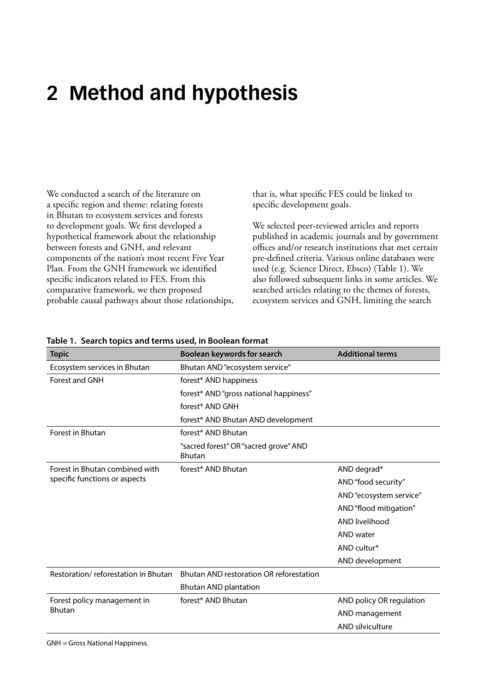# <span id="page-10-0"></span>**2 Method and hypothesis**

We conducted a search of the literature on a specific region and theme: relating forests in Bhutan to ecosystem services and forests to development goals. We first developed a hypothetical framework about the relationship between forests and GNH, and relevant components of the nation's most recent Five Year Plan. From the GNH framework we identified specific indicators related to FES. From this comparative framework, we then proposed probable causal pathways about those relationships, that is, what specific FES could be linked to specific development goals.

We selected peer-reviewed articles and reports published in academic journals and by government offices and/or research institutions that met certain pre-defined criteria. Various online databases were used (e.g. Science Direct, Ebsco) (Table 1). We also followed subsequent links in some articles. We searched articles relating to the themes of forests, ecosystem services and GNH, limiting the search

| <b>Topic</b>                        | Boolean keywords for search                            | <b>Additional terms</b>  |
|-------------------------------------|--------------------------------------------------------|--------------------------|
| Ecosystem services in Bhutan        | Bhutan AND "ecosystem service"                         |                          |
| Forest and GNH                      | forest* AND happiness                                  |                          |
|                                     | forest* AND "gross national happiness"                 |                          |
|                                     | forest* AND GNH                                        |                          |
|                                     | forest* AND Bhutan AND development                     |                          |
| Forest in Bhutan                    | forest* AND Bhutan                                     |                          |
|                                     | "sacred forest" OR "sacred grove" AND<br><b>Bhutan</b> |                          |
| Forest in Bhutan combined with      | forest* AND Bhutan                                     | AND degrad*              |
| specific functions or aspects       |                                                        | AND "food security"      |
|                                     |                                                        | AND "ecosystem service"  |
|                                     |                                                        | AND "flood mitigation"   |
|                                     |                                                        | <b>AND livelihood</b>    |
|                                     |                                                        | AND water                |
|                                     |                                                        | AND cultur*              |
|                                     |                                                        | AND development          |
| Restoration/reforestation in Bhutan | Bhutan AND restoration OR reforestation                |                          |
|                                     | <b>Bhutan AND plantation</b>                           |                          |
| Forest policy management in         | forest* AND Bhutan                                     | AND policy OR regulation |
| <b>Bhutan</b>                       |                                                        | AND management           |
|                                     |                                                        | AND silviculture         |

### **Table 1. Search topics and terms used, in Boolean format**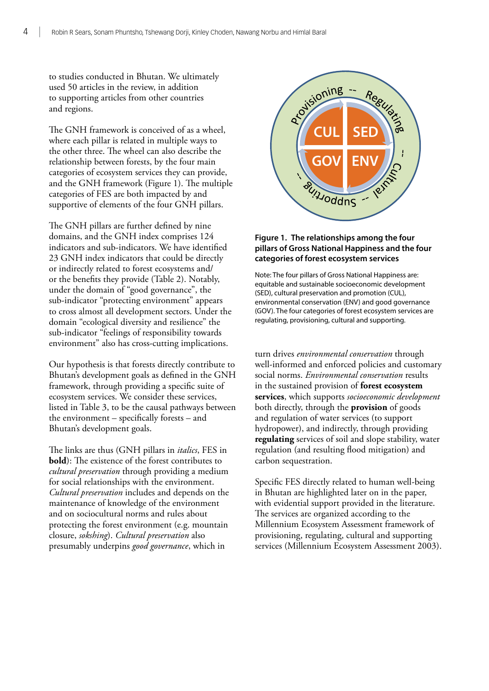<span id="page-11-0"></span>to studies conducted in Bhutan. We ultimately used 50 articles in the review, in addition to supporting articles from other countries and regions.

The GNH framework is conceived of as a wheel, where each pillar is related in multiple ways to the other three. The wheel can also describe the relationship between forests, by the four main categories of ecosystem services they can provide, and the GNH framework (Figure 1). The multiple categories of FES are both impacted by and supportive of elements of the four GNH pillars.

The GNH pillars are further defined by nine domains, and the GNH index comprises 124 indicators and sub-indicators. We have identified 23 GNH index indicators that could be directly or indirectly related to forest ecosystems and/ or the benefits they provide (Table 2). Notably, under the domain of "good governance", the sub-indicator "protecting environment" appears to cross almost all development sectors. Under the domain "ecological diversity and resilience" the sub-indicator "feelings of responsibility towards environment" also has cross-cutting implications.

Our hypothesis is that forests directly contribute to Bhutan's development goals as defined in the GNH framework, through providing a specific suite of ecosystem services. We consider these services, listed in Table 3, to be the causal pathways between the environment – specifically forests – and Bhutan's development goals.

The links are thus (GNH pillars in *italics*, FES in **bold**): The existence of the forest contributes to *cultural preservation* through providing a medium for social relationships with the environment. *Cultural preservation* includes and depends on the maintenance of knowledge of the environment and on sociocultural norms and rules about protecting the forest environment (e.g. mountain closure, *sokshing*). *Cultural preservation* also presumably underpins *good governance*, which in



#### **Figure 1. The relationships among the four pillars of Gross National Happiness and the four categories of forest ecosystem services**

Note: The four pillars of Gross National Happiness are: equitable and sustainable socioeconomic development (SED), cultural preservation and promotion (CUL), environmental conservation (ENV) and good governance (GOV). The four categories of forest ecosystem services are regulating, provisioning, cultural and supporting.

turn drives *environmental conservation* through well-informed and enforced policies and customary social norms. *Environmental conservation* results in the sustained provision of **forest ecosystem services**, which supports *socioeconomic development* both directly, through the **provision** of goods and regulation of water services (to support hydropower), and indirectly, through providing **regulating** services of soil and slope stability, water regulation (and resulting flood mitigation) and carbon sequestration.

Specific FES directly related to human well-being in Bhutan are highlighted later on in the paper, with evidential support provided in the literature. The services are organized according to the Millennium Ecosystem Assessment framework of provisioning, regulating, cultural and supporting services (Millennium Ecosystem Assessment 2003).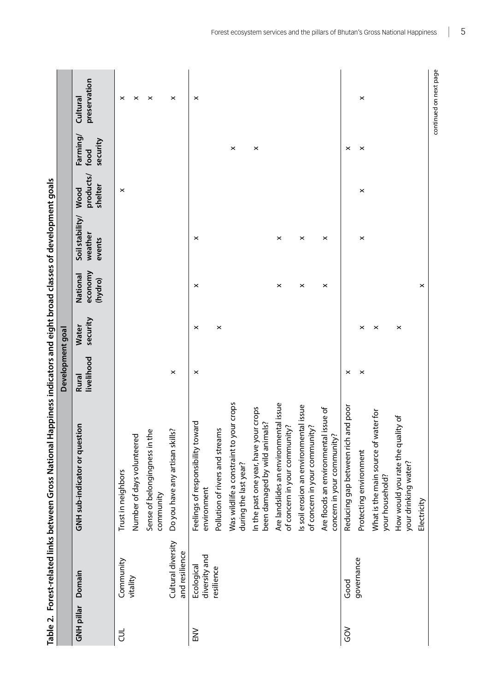<span id="page-12-0"></span>

|                   |                                      | i dole 21 Lone 21 Lone 21 Lone and Applications included the Strope Higgin Strope Biography of the Strope Strope Strope Highle 2013 |                     |                          |                                |                                      |                              |                              |                          |
|-------------------|--------------------------------------|-------------------------------------------------------------------------------------------------------------------------------------|---------------------|--------------------------|--------------------------------|--------------------------------------|------------------------------|------------------------------|--------------------------|
|                   |                                      |                                                                                                                                     | Development goal    |                          |                                |                                      |                              |                              |                          |
| <b>GNH pillar</b> | Domain                               | GNH sub-indicator or question                                                                                                       | livelihood<br>Rural | security<br><b>Water</b> | economy<br>National<br>(hydro) | Soil stability/<br>weather<br>events | products/<br>shelter<br>Wood | Farming/<br>security<br>food | preservation<br>Cultural |
| ヺ                 | Community<br>vitality                | Trust in neighbors                                                                                                                  |                     |                          |                                |                                      | $\times$                     |                              | ×                        |
|                   |                                      | Number of days volunteered                                                                                                          |                     |                          |                                |                                      |                              |                              | $\times$                 |
|                   |                                      | Sense of belongingness in the<br>community                                                                                          |                     |                          |                                |                                      |                              |                              | $\boldsymbol{\times}$    |
|                   | Cultural diversity<br>and resilience | Do you have any artisan skills?                                                                                                     | $\pmb{\times}$      |                          |                                |                                      |                              |                              | $\boldsymbol{\times}$    |
| NS<br>EN          | diversity and<br>Ecological          | Feelings of responsibility toward<br>environment                                                                                    | ×                   | $\pmb{\times}$           | $\times$                       | $\times$                             |                              |                              | $\times$                 |
|                   | resilience                           | Pollution of rivers and streams                                                                                                     |                     | $\boldsymbol{\times}$    |                                |                                      |                              |                              |                          |
|                   |                                      | Was wildlife a constraint to your crops<br>during the last year?                                                                    |                     |                          |                                |                                      |                              | ×                            |                          |
|                   |                                      | In the past one year, have your crops<br>been damaged by wild animals?                                                              |                     |                          |                                |                                      |                              | $\times$                     |                          |
|                   |                                      | Are landslides an environmental issue<br>of concern in your community?                                                              |                     |                          | $\times$                       | $\times$                             |                              |                              |                          |
|                   |                                      | ls soil erosion an environmental issue<br>of concern in your community?                                                             |                     |                          | ×                              | $\boldsymbol{\times}$                |                              |                              |                          |
|                   |                                      | Are floods an environmental issue of<br>concern in your community?                                                                  |                     |                          | ×                              | ×                                    |                              |                              |                          |
| ŠΘ                | Good                                 | and poor<br>Reducing gap between rich                                                                                               | ×                   |                          |                                |                                      |                              | ×                            |                          |
|                   | governance                           | Protecting environment                                                                                                              | $\pmb{\times}$      | ×                        |                                | ×                                    | $\boldsymbol{\times}$        | $\pmb{\times}$               | $\pmb{\times}$           |
|                   |                                      | What is the main source of water for<br>your household?                                                                             |                     | $\boldsymbol{\times}$    |                                |                                      |                              |                              |                          |
|                   |                                      | How would you rate the quality of<br>your drinking water?                                                                           |                     | $\times$                 |                                |                                      |                              |                              |                          |
|                   |                                      | Electricity                                                                                                                         |                     |                          | ×                              |                                      |                              |                              |                          |
|                   |                                      |                                                                                                                                     |                     |                          |                                |                                      |                              |                              | continued on next page   |

**Table 2. Forest-related links between Gross National Happiness indicators and eight broad classes of development goals**  Table 2 - Enrest-related links hetween Gross National Hampiness indicators and eight hroad classes of development goals

|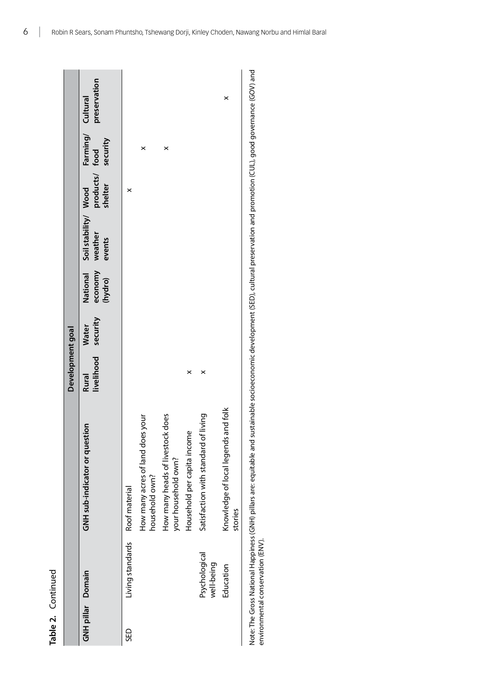| c<br>٠ |
|--------|
| ׇ֚֚֡֬  |

|                   |                                  |                                                                                                                                                                                       | Development goal           |                          |                                |                                           |                           |                               |              |
|-------------------|----------------------------------|---------------------------------------------------------------------------------------------------------------------------------------------------------------------------------------|----------------------------|--------------------------|--------------------------------|-------------------------------------------|---------------------------|-------------------------------|--------------|
| GNH pillar Domain |                                  | GNH sub-indicator or question                                                                                                                                                         | livelihood<br><b>Rural</b> | security<br><b>Water</b> | National<br>economy<br>(hydro) | Soil stability/ Wood<br>weather<br>events | products/ food<br>shelter | Farming/ Cultural<br>security | preservation |
| <b>GED</b>        | Living standards                 | Roof material                                                                                                                                                                         |                            |                          |                                |                                           | ×                         |                               |              |
|                   |                                  | How many acres of land does your<br>household own?                                                                                                                                    |                            |                          |                                |                                           |                           | ×                             |              |
|                   |                                  | How many heads of livestock does<br>your household own?                                                                                                                               |                            |                          |                                |                                           |                           | ×                             |              |
|                   |                                  | Household per capita income                                                                                                                                                           | ×                          |                          |                                |                                           |                           |                               |              |
|                   | Psychological<br>well-being      | Satisfaction with standard of living                                                                                                                                                  | ×                          |                          |                                |                                           |                           |                               |              |
|                   | Education                        | Knowledge of local legends and folk<br>stories                                                                                                                                        |                            |                          |                                |                                           |                           |                               | ×            |
|                   | environmental conservation (ENV) | Note: The Gross National Happiness (GNH) pillars are: equitable and sustainable socioeconomic development (SED), cultural preservation and promotion (CUL), good governance (GOV) and |                            |                          |                                |                                           |                           |                               |              |

6 | Robin R Sears, Sonam Phuntsho, Tshewang Dorji, Kinley Choden, Nawang Norbu and Himlal Baral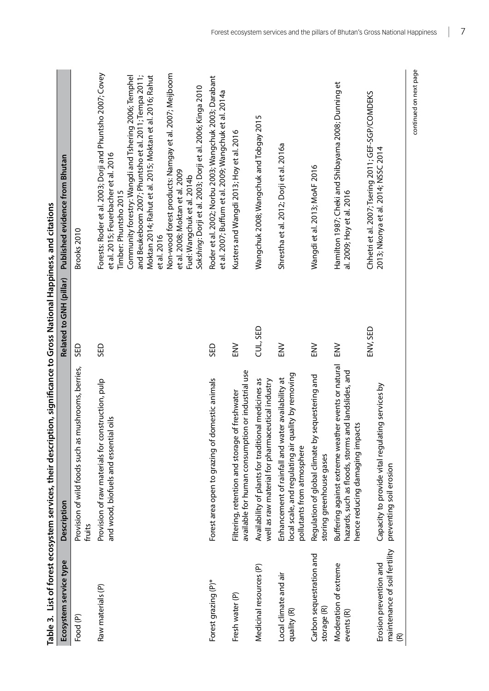<span id="page-14-0"></span>

|                                                              | Table 3. List of forest ecosystem services, their description, significance to Gross National Happiness, and citations                          |                         |                                                                                                                                                                                                                                                                                                                                                                                                                                                                                                                     |
|--------------------------------------------------------------|-------------------------------------------------------------------------------------------------------------------------------------------------|-------------------------|---------------------------------------------------------------------------------------------------------------------------------------------------------------------------------------------------------------------------------------------------------------------------------------------------------------------------------------------------------------------------------------------------------------------------------------------------------------------------------------------------------------------|
| Ecosystem service type                                       | Description                                                                                                                                     | Related to GNH (pillar) | Published evidence from Bhutan                                                                                                                                                                                                                                                                                                                                                                                                                                                                                      |
| Food (P)                                                     | Provision of wild foods such as mushrooms, berries,<br>fruits                                                                                   | GED                     | Brooks 2010                                                                                                                                                                                                                                                                                                                                                                                                                                                                                                         |
| Raw materials (P)                                            | Provision of raw materials for construction, pulp<br>and wood, biofuels and essential oils                                                      | GED                     | Forests: Roder et al. 2003; Dorji and Phuntsho 2007; Covey<br>Non-wood forest products: Namgay et al. 2007; Meijboom<br>and Beukeboom 2007; Phuntsho et al. 2011; Tempa 2011;<br>Moktan 2014; Rahut et al. 2015; Moktan et al. 2016; Rahut<br>Community forestry: Wangdi and Tshering 2006; Temphel<br>Sokshing: Dorji et al. 2003; Dorji et al. 2006; Kinga 2010<br>et al. 2015; Feuerbacher et al. 2016<br>et al. 2008; Moktan et al. 2009<br>Fuel: Wangchuk et al. 2014b<br>Timber: Phuntsho 2015<br>et al. 2016 |
| Forest grazing (P)*                                          | Forest area open to grazing of domestic animals                                                                                                 | GED                     | Roder et al. 2002; Norbu 2003; Wangchuk 2003; Darabant<br>et al. 2007; Buffum et al. 2009; Wangchuk et al. 2014a                                                                                                                                                                                                                                                                                                                                                                                                    |
| Fresh water (P)                                              | available for human consumption or industrial use<br>of freshwater<br>Filtering, retention and storage                                          | NS<br>EN                | Kusters and Wangdi 2013; Hoy et al. 2016                                                                                                                                                                                                                                                                                                                                                                                                                                                                            |
| Medicinal resources (P)                                      | Availability of plants for traditional medicines as<br>well as raw material for pharmaceutical industry                                         | CUL, SED                | Wangchuk 2008; Wangchuk and Tobgay 2015                                                                                                                                                                                                                                                                                                                                                                                                                                                                             |
| Local climate and air<br>quality (R)                         | local scale, and regulating air quality by removing<br>Enhancement of rainfall and water availability at<br>pollutants from atmosphere          | <b>NS</b>               | Shrestha et al. 2012; Dorji et al. 2016a                                                                                                                                                                                                                                                                                                                                                                                                                                                                            |
| Carbon sequestration and<br>storage (R)                      | sequestering and<br>Regulation of global climate by<br>storing greenhouse gases                                                                 | NN <sub>3</sub>         | Wangdi et al. 2013; MoAF 2016                                                                                                                                                                                                                                                                                                                                                                                                                                                                                       |
| Moderation of extreme<br>events (R)                          | Buffering against extreme weather events or natural<br>hazards, such as floods, storms and landslides, and<br>ť<br>hence reducing damaging impa | NN <sub>3</sub>         | Hamilton 1987; Cheki and Shibayama 2008; Dunning et<br>al. 2009; Hoy et al. 2016                                                                                                                                                                                                                                                                                                                                                                                                                                    |
| maintenance of soil fertility<br>Erosion prevention and<br>E | Capacity to provide vital regulating services by<br>preventing soil erosion                                                                     | ENV, SED                | Chhetri et al. 2007; Tsering 2011; GEF-SGP/COMDEKS<br>2013; Nkonya et al. 2014; NSSC 2014                                                                                                                                                                                                                                                                                                                                                                                                                           |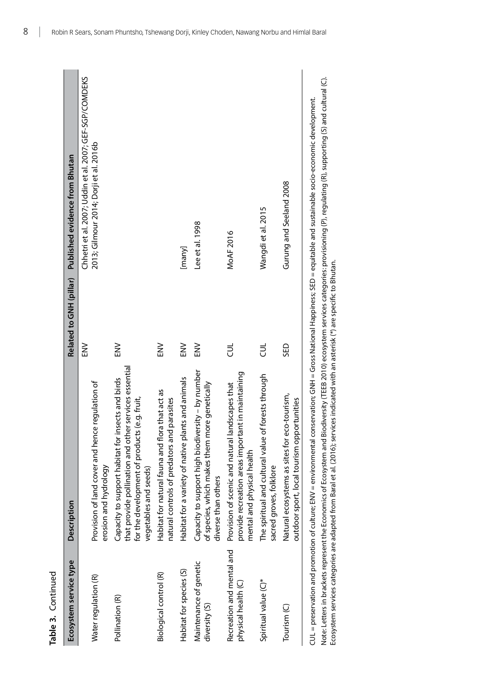Continued

| Table 3. Continued                               |                                                                                                                                                                                        |                         |                                                                                                                                                                                                                                         |
|--------------------------------------------------|----------------------------------------------------------------------------------------------------------------------------------------------------------------------------------------|-------------------------|-----------------------------------------------------------------------------------------------------------------------------------------------------------------------------------------------------------------------------------------|
| Ecosystem service type                           | <b>Description</b>                                                                                                                                                                     | Related to GNH (pillar) | Published evidence from Bhutan                                                                                                                                                                                                          |
| Water regulation (R)                             | Provision of land cover and hence regulation of<br>erosion and hydrology                                                                                                               | $\geq$                  | Chhetri et al. 2007; Uddin et al. 2007; GEF-SGP/COMDEKS<br>2013; Gilmour 2014; Dorji et al. 2016b                                                                                                                                       |
| Pollination (R)                                  | that provide pollination and other services essential<br>insects and birds<br>for the development of products (e.g. fruit,<br>Capacity to support habitat for<br>vegetables and seeds) | NN <sub>3</sub>         |                                                                                                                                                                                                                                         |
| Biological control (R)                           | Habitat for natural fauna and flora that act as<br>natural controls of predators and parasites                                                                                         | NN <sub>3</sub>         |                                                                                                                                                                                                                                         |
| Habitat for species (S)                          | Habitat for a variety of native plants and animals                                                                                                                                     | EN <sub>2</sub>         | [many]                                                                                                                                                                                                                                  |
| Maintenance of genetic<br>diversity (S)          | Capacity to support high biodiversity - by number<br>of species, which makes them more genetically<br>diverse than others                                                              | NN<br>EN                | Lee et al. 1998                                                                                                                                                                                                                         |
| Recreation and mental and<br>physical health (C) | provide recreation areas important in maintaining<br>landscapes that<br>Provision of scenic and natural<br>mental and physical health                                                  | ヺ                       | MoAF 2016                                                                                                                                                                                                                               |
| Spiritual value (C)*                             | of forests through<br>The spiritual and cultural value<br>sacred groves, folklore                                                                                                      | も                       | Wangdi et al. 2015                                                                                                                                                                                                                      |
| Tourism <sub>(C)</sub>                           | Natural ecosystems as sites for eco-tourism,<br>outdoor sport, local tourism opportunities                                                                                             | GED                     | Gurung and Seeland 2008                                                                                                                                                                                                                 |
|                                                  | CUL = preservation and promotion of culture; ENV = environmental<br>Note: Letters in brackets represent the Economics of Ecosystem and                                                 |                         | Biodiversity (TEEB 2010) ecosystem services categories: provisioning (P), regulating (R), supporting (S) and cultural (C).<br>conservation; GNH = Gross National Happiness; SED = equitable and sustainable socio-economic development. |

Ecosystem services categories are adapted from Baral et al. (2016); services indicated with an asterisk (\*) are specific to Bhutan.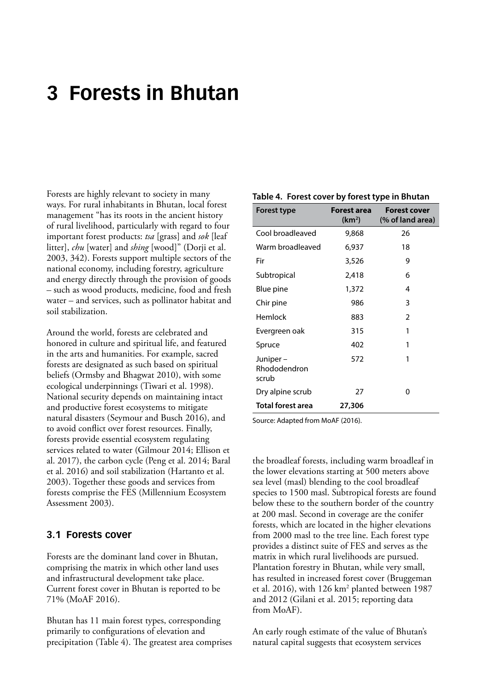# <span id="page-16-0"></span>**3 Forests in Bhutan**

Forests are highly relevant to society in many ways. For rural inhabitants in Bhutan, local forest management "has its roots in the ancient history of rural livelihood, particularly with regard to four important forest products: *tsa* [grass] and *sok* [leaf litter], *chu* [water] and *shing* [wood]" (Dorji et al. 2003, 342). Forests support multiple sectors of the national economy, including forestry, agriculture and energy directly through the provision of goods – such as wood products, medicine, food and fresh water – and services, such as pollinator habitat and soil stabilization.

Around the world, forests are celebrated and honored in culture and spiritual life, and featured in the arts and humanities. For example, sacred forests are designated as such based on spiritual beliefs (Ormsby and Bhagwat 2010), with some ecological underpinnings (Tiwari et al. 1998). National security depends on maintaining intact and productive forest ecosystems to mitigate natural disasters (Seymour and Busch 2016), and to avoid conflict over forest resources. Finally, forests provide essential ecosystem regulating services related to water (Gilmour 2014; Ellison et al. 2017), the carbon cycle (Peng et al. 2014; Baral et al. 2016) and soil stabilization (Hartanto et al. 2003). Together these goods and services from forests comprise the FES (Millennium Ecosystem Assessment 2003).

### **3.1 Forests cover**

Forests are the dominant land cover in Bhutan, comprising the matrix in which other land uses and infrastructural development take place. Current forest cover in Bhutan is reported to be 71% (MoAF 2016).

Bhutan has 11 main forest types, corresponding primarily to configurations of elevation and precipitation (Table 4). The greatest area comprises

#### **Table 4. Forest cover by forest type in Bhutan**

| Forest type                       | Forest area<br>(km <sup>2</sup> ) | <b>Forest cover</b><br>(% of land area) |
|-----------------------------------|-----------------------------------|-----------------------------------------|
| Cool broadleaved                  | 9,868                             | 26                                      |
| Warm broadleaved                  | 6,937                             | 18                                      |
| Fir                               | 3,526                             | 9                                       |
| Subtropical                       | 2,418                             | 6                                       |
| Blue pine                         | 1,372                             | 4                                       |
| Chir pine                         | 986                               | 3                                       |
| Hemlock                           | 883                               | 2                                       |
| Evergreen oak                     | 315                               | 1                                       |
| Spruce                            | 402                               | 1                                       |
| Juniper-<br>Rhododendron<br>scrub | 572                               | 1                                       |
| Dry alpine scrub                  | 27                                | 0                                       |
| <b>Total forest area</b>          | 27,306                            |                                         |

Source: Adapted from MoAF (2016).

the broadleaf forests, including warm broadleaf in the lower elevations starting at 500 meters above sea level (masl) blending to the cool broadleaf species to 1500 masl. Subtropical forests are found below these to the southern border of the country at 200 masl. Second in coverage are the conifer forests, which are located in the higher elevations from 2000 masl to the tree line. Each forest type provides a distinct suite of FES and serves as the matrix in which rural livelihoods are pursued. Plantation forestry in Bhutan, while very small, has resulted in increased forest cover (Bruggeman et al. 2016), with 126 km<sup>2</sup> planted between 1987 and 2012 (Gilani et al. 2015; reporting data from MoAF).

An early rough estimate of the value of Bhutan's natural capital suggests that ecosystem services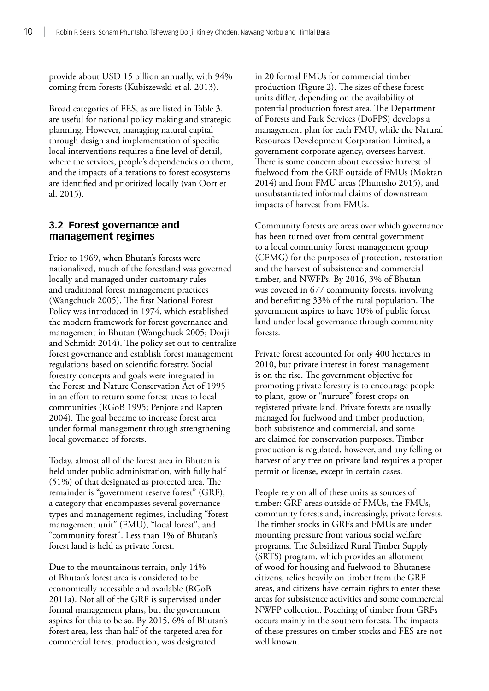<span id="page-17-0"></span>provide about USD 15 billion annually, with 94% coming from forests (Kubiszewski et al. 2013).

Broad categories of FES, as are listed in Table 3, are useful for national policy making and strategic planning. However, managing natural capital through design and implementation of specific local interventions requires a fine level of detail, where the services, people's dependencies on them, and the impacts of alterations to forest ecosystems are identified and prioritized locally (van Oort et al. 2015).

### **3.2 Forest governance and management regimes**

Prior to 1969, when Bhutan's forests were nationalized, much of the forestland was governed locally and managed under customary rules and traditional forest management practices (Wangchuck 2005). The first National Forest Policy was introduced in 1974, which established the modern framework for forest governance and management in Bhutan (Wangchuck 2005; Dorji and Schmidt 2014). The policy set out to centralize forest governance and establish forest management regulations based on scientific forestry. Social forestry concepts and goals were integrated in the Forest and Nature Conservation Act of 1995 in an effort to return some forest areas to local communities (RGoB 1995; Penjore and Rapten 2004). The goal became to increase forest area under formal management through strengthening local governance of forests.

Today, almost all of the forest area in Bhutan is held under public administration, with fully half (51%) of that designated as protected area. The remainder is "government reserve forest" (GRF), a category that encompasses several governance types and management regimes, including "forest management unit" (FMU), "local forest", and "community forest". Less than 1% of Bhutan's forest land is held as private forest.

Due to the mountainous terrain, only 14% of Bhutan's forest area is considered to be economically accessible and available (RGoB 2011a). Not all of the GRF is supervised under formal management plans, but the government aspires for this to be so. By 2015, 6% of Bhutan's forest area, less than half of the targeted area for commercial forest production, was designated

in 20 formal FMUs for commercial timber production (Figure 2). The sizes of these forest units differ, depending on the availability of potential production forest area. The Department of Forests and Park Services (DoFPS) develops a management plan for each FMU, while the Natural Resources Development Corporation Limited, a government corporate agency, oversees harvest. There is some concern about excessive harvest of fuelwood from the GRF outside of FMUs (Moktan 2014) and from FMU areas (Phuntsho 2015), and unsubstantiated informal claims of downstream impacts of harvest from FMUs.

Community forests are areas over which governance has been turned over from central government to a local community forest management group (CFMG) for the purposes of protection, restoration and the harvest of subsistence and commercial timber, and NWFPs. By 2016, 3% of Bhutan was covered in 677 community forests, involving and benefitting 33% of the rural population. The government aspires to have 10% of public forest land under local governance through community forests.

Private forest accounted for only 400 hectares in 2010, but private interest in forest management is on the rise. The government objective for promoting private forestry is to encourage people to plant, grow or "nurture" forest crops on registered private land. Private forests are usually managed for fuelwood and timber production, both subsistence and commercial, and some are claimed for conservation purposes. Timber production is regulated, however, and any felling or harvest of any tree on private land requires a proper permit or license, except in certain cases.

People rely on all of these units as sources of timber: GRF areas outside of FMUs, the FMUs, community forests and, increasingly, private forests. The timber stocks in GRFs and FMUs are under mounting pressure from various social welfare programs. The Subsidized Rural Timber Supply (SRTS) program, which provides an allotment of wood for housing and fuelwood to Bhutanese citizens, relies heavily on timber from the GRF areas, and citizens have certain rights to enter these areas for subsistence activities and some commercial NWFP collection. Poaching of timber from GRFs occurs mainly in the southern forests. The impacts of these pressures on timber stocks and FES are not well known.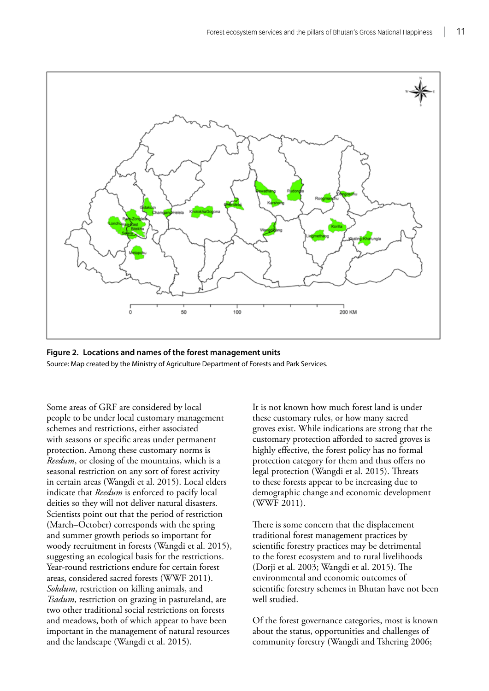<span id="page-18-0"></span>



Some areas of GRF are considered by local people to be under local customary management schemes and restrictions, either associated with seasons or specific areas under permanent protection. Among these customary norms is *Reedum*, or closing of the mountains, which is a seasonal restriction on any sort of forest activity in certain areas (Wangdi et al. 2015). Local elders indicate that *Reedum* is enforced to pacify local deities so they will not deliver natural disasters. Scientists point out that the period of restriction (March–October) corresponds with the spring and summer growth periods so important for woody recruitment in forests (Wangdi et al. 2015), suggesting an ecological basis for the restrictions. Year-round restrictions endure for certain forest areas, considered sacred forests (WWF 2011). *Sokdum*, restriction on killing animals, and *Tsadum*, restriction on grazing in pastureland, are two other traditional social restrictions on forests and meadows, both of which appear to have been important in the management of natural resources and the landscape (Wangdi et al. 2015).

It is not known how much forest land is under these customary rules, or how many sacred groves exist. While indications are strong that the customary protection afforded to sacred groves is highly effective, the forest policy has no formal protection category for them and thus offers no legal protection (Wangdi et al. 2015). Threats to these forests appear to be increasing due to demographic change and economic development (WWF 2011).

There is some concern that the displacement traditional forest management practices by scientific forestry practices may be detrimental to the forest ecosystem and to rural livelihoods (Dorji et al. 2003; Wangdi et al. 2015). The environmental and economic outcomes of scientific forestry schemes in Bhutan have not been well studied.

Of the forest governance categories, most is known about the status, opportunities and challenges of community forestry (Wangdi and Tshering 2006;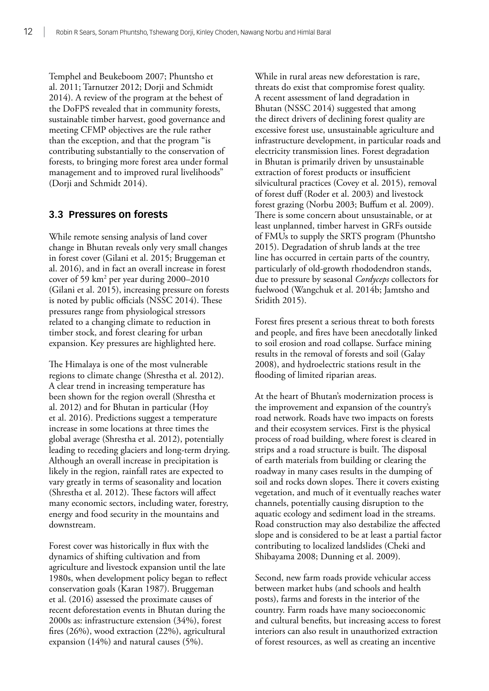<span id="page-19-0"></span>Temphel and Beukeboom 2007; Phuntsho et al. 2011; Tarnutzer 2012; Dorji and Schmidt 2014). A review of the program at the behest of the DoFPS revealed that in community forests, sustainable timber harvest, good governance and meeting CFMP objectives are the rule rather than the exception, and that the program "is contributing substantially to the conservation of forests, to bringing more forest area under formal management and to improved rural livelihoods" (Dorji and Schmidt 2014).

### **3.3 Pressures on forests**

While remote sensing analysis of land cover change in Bhutan reveals only very small changes in forest cover (Gilani et al. 2015; Bruggeman et al. 2016), and in fact an overall increase in forest cover of 59 km<sup>2</sup> per year during 2000–2010 (Gilani et al. 2015), increasing pressure on forests is noted by public officials (NSSC 2014). These pressures range from physiological stressors related to a changing climate to reduction in timber stock, and forest clearing for urban expansion. Key pressures are highlighted here.

The Himalaya is one of the most vulnerable regions to climate change (Shrestha et al. 2012). A clear trend in increasing temperature has been shown for the region overall (Shrestha et al. 2012) and for Bhutan in particular (Hoy et al. 2016). Predictions suggest a temperature increase in some locations at three times the global average (Shrestha et al. 2012), potentially leading to receding glaciers and long-term drying. Although an overall increase in precipitation is likely in the region, rainfall rates are expected to vary greatly in terms of seasonality and location (Shrestha et al. 2012). These factors will affect many economic sectors, including water, forestry, energy and food security in the mountains and downstream.

Forest cover was historically in flux with the dynamics of shifting cultivation and from agriculture and livestock expansion until the late 1980s, when development policy began to reflect conservation goals (Karan 1987). Bruggeman et al. (2016) assessed the proximate causes of recent deforestation events in Bhutan during the 2000s as: infrastructure extension (34%), forest fires (26%), wood extraction (22%), agricultural expansion (14%) and natural causes (5%).

While in rural areas new deforestation is rare, threats do exist that compromise forest quality. A recent assessment of land degradation in Bhutan (NSSC 2014) suggested that among the direct drivers of declining forest quality are excessive forest use, unsustainable agriculture and infrastructure development, in particular roads and electricity transmission lines. Forest degradation in Bhutan is primarily driven by unsustainable extraction of forest products or insufficient silvicultural practices (Covey et al. 2015), removal of forest duff (Roder et al. 2003) and livestock forest grazing (Norbu 2003; Buffum et al. 2009). There is some concern about unsustainable, or at least unplanned, timber harvest in GRFs outside of FMUs to supply the SRTS program (Phuntsho 2015). Degradation of shrub lands at the tree line has occurred in certain parts of the country, particularly of old-growth rhododendron stands, due to pressure by seasonal *Cordyceps* collectors for fuelwood (Wangchuk et al. 2014b; Jamtsho and Sridith 2015).

Forest fires present a serious threat to both forests and people, and fires have been anecdotally linked to soil erosion and road collapse. Surface mining results in the removal of forests and soil (Galay 2008), and hydroelectric stations result in the flooding of limited riparian areas.

At the heart of Bhutan's modernization process is the improvement and expansion of the country's road network. Roads have two impacts on forests and their ecosystem services. First is the physical process of road building, where forest is cleared in strips and a road structure is built. The disposal of earth materials from building or clearing the roadway in many cases results in the dumping of soil and rocks down slopes. There it covers existing vegetation, and much of it eventually reaches water channels, potentially causing disruption to the aquatic ecology and sediment load in the streams. Road construction may also destabilize the affected slope and is considered to be at least a partial factor contributing to localized landslides (Cheki and Shibayama 2008; Dunning et al. 2009).

Second, new farm roads provide vehicular access between market hubs (and schools and health posts), farms and forests in the interior of the country. Farm roads have many socioeconomic and cultural benefits, but increasing access to forest interiors can also result in unauthorized extraction of forest resources, as well as creating an incentive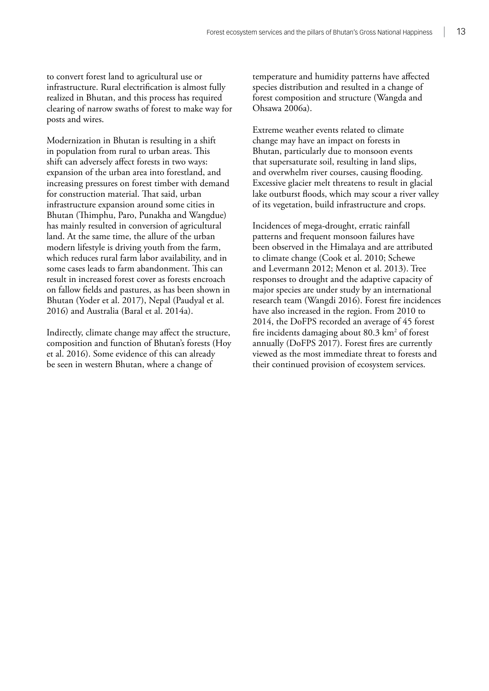to convert forest land to agricultural use or infrastructure. Rural electrification is almost fully realized in Bhutan, and this process has required clearing of narrow swaths of forest to make way for posts and wires.

Modernization in Bhutan is resulting in a shift in population from rural to urban areas. This shift can adversely affect forests in two ways: expansion of the urban area into forestland, and increasing pressures on forest timber with demand for construction material. That said, urban infrastructure expansion around some cities in Bhutan (Thimphu, Paro, Punakha and Wangdue) has mainly resulted in conversion of agricultural land. At the same time, the allure of the urban modern lifestyle is driving youth from the farm, which reduces rural farm labor availability, and in some cases leads to farm abandonment. This can result in increased forest cover as forests encroach on fallow fields and pastures, as has been shown in Bhutan (Yoder et al. 2017), Nepal (Paudyal et al. 2016) and Australia (Baral et al. 2014a).

Indirectly, climate change may affect the structure, composition and function of Bhutan's forests (Hoy et al. 2016). Some evidence of this can already be seen in western Bhutan, where a change of

temperature and humidity patterns have affected species distribution and resulted in a change of forest composition and structure (Wangda and Ohsawa 2006a).

Extreme weather events related to climate change may have an impact on forests in Bhutan, particularly due to monsoon events that supersaturate soil, resulting in land slips, and overwhelm river courses, causing flooding. Excessive glacier melt threatens to result in glacial lake outburst floods, which may scour a river valley of its vegetation, build infrastructure and crops.

Incidences of mega-drought, erratic rainfall patterns and frequent monsoon failures have been observed in the Himalaya and are attributed to climate change (Cook et al. 2010; Schewe and Levermann 2012; Menon et al. 2013). Tree responses to drought and the adaptive capacity of major species are under study by an international research team (Wangdi 2016). Forest fire incidences have also increased in the region. From 2010 to 2014, the DoFPS recorded an average of 45 forest fire incidents damaging about 80.3 km2 of forest annually (DoFPS 2017). Forest fires are currently viewed as the most immediate threat to forests and their continued provision of ecosystem services.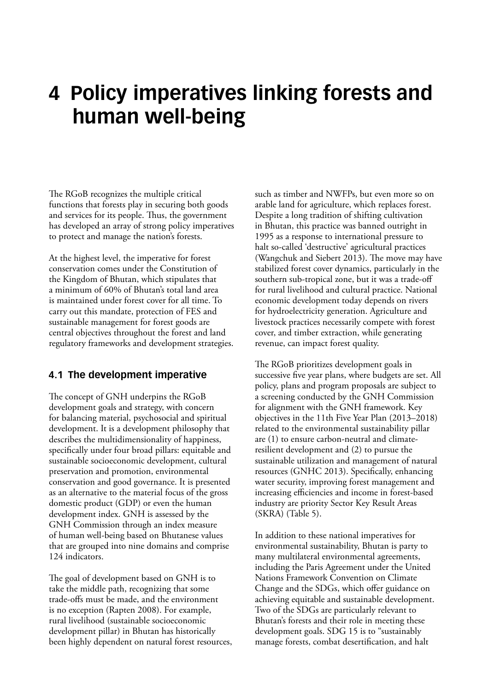# <span id="page-21-0"></span>**4 Policy imperatives linking forests and human well-being**

The RGoB recognizes the multiple critical functions that forests play in securing both goods and services for its people. Thus, the government has developed an array of strong policy imperatives to protect and manage the nation's forests.

At the highest level, the imperative for forest conservation comes under the Constitution of the Kingdom of Bhutan, which stipulates that a minimum of 60% of Bhutan's total land area is maintained under forest cover for all time. To carry out this mandate, protection of FES and sustainable management for forest goods are central objectives throughout the forest and land regulatory frameworks and development strategies.

### **4.1 The development imperative**

The concept of GNH underpins the RGoB development goals and strategy, with concern for balancing material, psychosocial and spiritual development. It is a development philosophy that describes the multidimensionality of happiness, specifically under four broad pillars: equitable and sustainable socioeconomic development, cultural preservation and promotion, environmental conservation and good governance. It is presented as an alternative to the material focus of the gross domestic product (GDP) or even the human development index. GNH is assessed by the GNH Commission through an index measure of human well-being based on Bhutanese values that are grouped into nine domains and comprise 124 indicators.

The goal of development based on GNH is to take the middle path, recognizing that some trade-offs must be made, and the environment is no exception (Rapten 2008). For example, rural livelihood (sustainable socioeconomic development pillar) in Bhutan has historically been highly dependent on natural forest resources, such as timber and NWFPs, but even more so on arable land for agriculture, which replaces forest. Despite a long tradition of shifting cultivation in Bhutan, this practice was banned outright in 1995 as a response to international pressure to halt so-called 'destructive' agricultural practices (Wangchuk and Siebert 2013). The move may have stabilized forest cover dynamics, particularly in the southern sub-tropical zone, but it was a trade-off for rural livelihood and cultural practice. National economic development today depends on rivers for hydroelectricity generation. Agriculture and livestock practices necessarily compete with forest cover, and timber extraction, while generating revenue, can impact forest quality.

The RGoB prioritizes development goals in successive five year plans, where budgets are set. All policy, plans and program proposals are subject to a screening conducted by the GNH Commission for alignment with the GNH framework. Key objectives in the 11th Five Year Plan (2013–2018) related to the environmental sustainability pillar are (1) to ensure carbon-neutral and climateresilient development and (2) to pursue the sustainable utilization and management of natural resources (GNHC 2013). Specifically, enhancing water security, improving forest management and increasing efficiencies and income in forest-based industry are priority Sector Key Result Areas (SKRA) (Table 5).

In addition to these national imperatives for environmental sustainability, Bhutan is party to many multilateral environmental agreements, including the Paris Agreement under the United Nations Framework Convention on Climate Change and the SDGs, which offer guidance on achieving equitable and sustainable development. Two of the SDGs are particularly relevant to Bhutan's forests and their role in meeting these development goals. SDG 15 is to "sustainably manage forests, combat desertification, and halt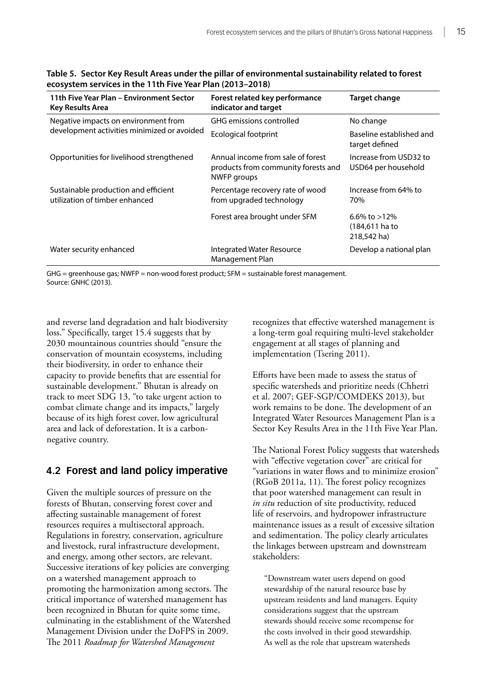| 11th Five Year Plan - Environment Sector<br><b>Key Results Area</b>    | Forest related key performance<br>indicator and target                                         | <b>Target change</b>                             |
|------------------------------------------------------------------------|------------------------------------------------------------------------------------------------|--------------------------------------------------|
| Negative impacts on environment from                                   | <b>GHG</b> emissions controlled                                                                | No change                                        |
| development activities minimized or avoided                            | <b>Ecological footprint</b>                                                                    | Baseline established and<br>target defined       |
| Opportunities for livelihood strengthened                              | Annual income from sale of forest<br>products from community forests and<br><b>NWFP</b> groups | Increase from USD32 to<br>USD64 per household    |
| Sustainable production and efficient<br>utilization of timber enhanced | Percentage recovery rate of wood<br>from upgraded technology                                   | Increase from 64% to<br>70%                      |
|                                                                        | Forest area brought under SFM                                                                  | 6.6% to $>12\%$<br>(184,611 ha to<br>218,542 ha) |
| Water security enhanced                                                | Integrated Water Resource<br>Management Plan                                                   | Develop a national plan                          |

<span id="page-22-0"></span>**Table 5. Sector Key Result Areas under the pillar of environmental sustainability related to forest ecosystem services in the 11th Five Year Plan (2013–2018)** 

GHG = greenhouse gas; NWFP = non-wood forest product; SFM = sustainable forest management. Source: GNHC (2013).

and reverse land degradation and halt biodiversity loss." Specifically, target 15.4 suggests that by 2030 mountainous countries should "ensure the conservation of mountain ecosystems, including their biodiversity, in order to enhance their capacity to provide benefits that are essential for sustainable development." Bhutan is already on track to meet SDG 13, "to take urgent action to combat climate change and its impacts," largely because of its high forest cover, low agricultural area and lack of deforestation. It is a carbonnegative country.

### **4.2 Forest and land policy imperative**

Given the multiple sources of pressure on the forests of Bhutan, conserving forest cover and affecting sustainable management of forest resources requires a multisectoral approach. Regulations in forestry, conservation, agriculture and livestock, rural infrastructure development, and energy, among other sectors, are relevant. Successive iterations of key policies are converging on a watershed management approach to promoting the harmonization among sectors. The critical importance of watershed management has been recognized in Bhutan for quite some time, culminating in the establishment of the Watershed Management Division under the DoFPS in 2009. The 2011 *Roadmap for Watershed Management*

recognizes that effective watershed management is a long-term goal requiring multi-level stakeholder engagement at all stages of planning and implementation (Tsering 2011).

Efforts have been made to assess the status of specific watersheds and prioritize needs (Chhetri et al. 2007; GEF-SGP/COMDEKS 2013), but work remains to be done. The development of an Integrated Water Resources Management Plan is a Sector Key Results Area in the 11th Five Year Plan.

The National Forest Policy suggests that watersheds with "effective vegetation cover" are critical for "variations in water flows and to minimize erosion" (RGoB 2011a, 11). The forest policy recognizes that poor watershed management can result in *in situ* reduction of site productivity, reduced life of reservoirs, and hydropower infrastructure maintenance issues as a result of excessive siltation and sedimentation. The policy clearly articulates the linkages between upstream and downstream stakeholders:

"Downstream water users depend on good stewardship of the natural resource base by upstream residents and land managers. Equity considerations suggest that the upstream stewards should receive some recompense for the costs involved in their good stewardship. As well as the role that upstream watersheds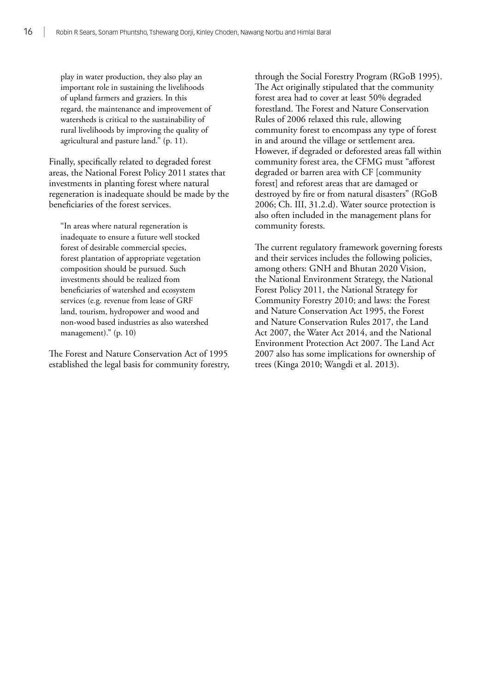play in water production, they also play an important role in sustaining the livelihoods of upland farmers and graziers. In this regard, the maintenance and improvement of watersheds is critical to the sustainability of rural livelihoods by improving the quality of agricultural and pasture land." (p. 11).

Finally, specifically related to degraded forest areas, the National Forest Policy 2011 states that investments in planting forest where natural regeneration is inadequate should be made by the beneficiaries of the forest services.

"In areas where natural regeneration is inadequate to ensure a future well stocked forest of desirable commercial species, forest plantation of appropriate vegetation composition should be pursued. Such investments should be realized from beneficiaries of watershed and ecosystem services (e.g. revenue from lease of GRF land, tourism, hydropower and wood and non-wood based industries as also watershed management)." (p. 10)

The Forest and Nature Conservation Act of 1995 established the legal basis for community forestry, through the Social Forestry Program (RGoB 1995). The Act originally stipulated that the community forest area had to cover at least 50% degraded forestland. The Forest and Nature Conservation Rules of 2006 relaxed this rule, allowing community forest to encompass any type of forest in and around the village or settlement area. However, if degraded or deforested areas fall within community forest area, the CFMG must "afforest degraded or barren area with CF [community forest] and reforest areas that are damaged or destroyed by fire or from natural disasters" (RGoB 2006; Ch. III, 31.2.d). Water source protection is also often included in the management plans for community forests.

The current regulatory framework governing forests and their services includes the following policies, among others: GNH and Bhutan 2020 Vision, the National Environment Strategy, the National Forest Policy 2011, the National Strategy for Community Forestry 2010; and laws: the Forest and Nature Conservation Act 1995, the Forest and Nature Conservation Rules 2017, the Land Act 2007, the Water Act 2014, and the National Environment Protection Act 2007. The Land Act 2007 also has some implications for ownership of trees (Kinga 2010; Wangdi et al. 2013).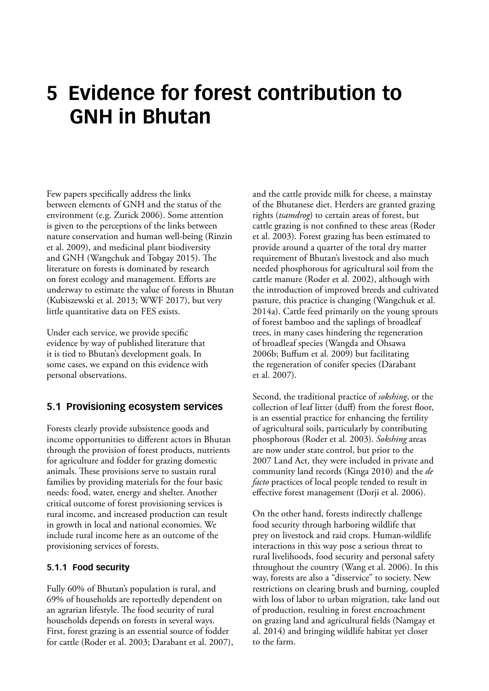# <span id="page-24-0"></span>**5 Evidence for forest contribution to GNH in Bhutan**

Few papers specifically address the links between elements of GNH and the status of the environment (e.g. Zurick 2006). Some attention is given to the perceptions of the links between nature conservation and human well-being (Rinzin et al. 2009), and medicinal plant biodiversity and GNH (Wangchuk and Tobgay 2015). The literature on forests is dominated by research on forest ecology and management. Efforts are underway to estimate the value of forests in Bhutan (Kubiszewski et al. 2013; WWF 2017), but very little quantitative data on FES exists.

Under each service, we provide specific evidence by way of published literature that it is tied to Bhutan's development goals. In some cases, we expand on this evidence with personal observations.

### **5.1 Provisioning ecosystem services**

Forests clearly provide subsistence goods and income opportunities to different actors in Bhutan through the provision of forest products, nutrients for agriculture and fodder for grazing domestic animals. These provisions serve to sustain rural families by providing materials for the four basic needs: food, water, energy and shelter. Another critical outcome of forest provisioning services is rural income, and increased production can result in growth in local and national economies. We include rural income here as an outcome of the provisioning services of forests.

#### **5.1.1 Food security**

Fully 60% of Bhutan's population is rural, and 69% of households are reportedly dependent on an agrarian lifestyle. The food security of rural households depends on forests in several ways. First, forest grazing is an essential source of fodder for cattle (Roder et al. 2003; Darabant et al. 2007), and the cattle provide milk for cheese, a mainstay of the Bhutanese diet. Herders are granted grazing rights (*tsamdrog*) to certain areas of forest, but cattle grazing is not confined to these areas (Roder et al. 2003). Forest grazing has been estimated to provide around a quarter of the total dry matter requirement of Bhutan's livestock and also much needed phosphorous for agricultural soil from the cattle manure (Roder et al. 2002), although with the introduction of improved breeds and cultivated pasture, this practice is changing (Wangchuk et al. 2014a). Cattle feed primarily on the young sprouts of forest bamboo and the saplings of broadleaf trees, in many cases hindering the regeneration of broadleaf species (Wangda and Ohsawa 2006b; Buffum et al. 2009) but facilitating the regeneration of conifer species (Darabant et al. 2007).

Second, the traditional practice of *sokshing*, or the collection of leaf litter (duff) from the forest floor, is an essential practice for enhancing the fertility of agricultural soils, particularly by contributing phosphorous (Roder et al. 2003). *Sokshing* areas are now under state control, but prior to the 2007 Land Act, they were included in private and community land records (Kinga 2010) and the *de facto* practices of local people tended to result in effective forest management (Dorji et al. 2006).

On the other hand, forests indirectly challenge food security through harboring wildlife that prey on livestock and raid crops. Human-wildlife interactions in this way pose a serious threat to rural livelihoods, food security and personal safety throughout the country (Wang et al. 2006). In this way, forests are also a "disservice" to society. New restrictions on clearing brush and burning, coupled with loss of labor to urban migration, take land out of production, resulting in forest encroachment on grazing land and agricultural fields (Namgay et al. 2014) and bringing wildlife habitat yet closer to the farm.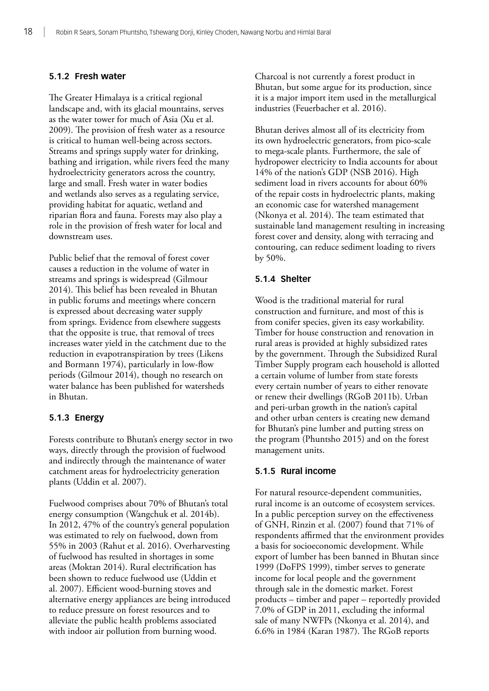#### **5.1.2 Fresh water**

The Greater Himalaya is a critical regional landscape and, with its glacial mountains, serves as the water tower for much of Asia (Xu et al. 2009). The provision of fresh water as a resource is critical to human well-being across sectors. Streams and springs supply water for drinking, bathing and irrigation, while rivers feed the many hydroelectricity generators across the country, large and small. Fresh water in water bodies and wetlands also serves as a regulating service, providing habitat for aquatic, wetland and riparian flora and fauna. Forests may also play a role in the provision of fresh water for local and downstream uses.

Public belief that the removal of forest cover causes a reduction in the volume of water in streams and springs is widespread (Gilmour 2014). This belief has been revealed in Bhutan in public forums and meetings where concern is expressed about decreasing water supply from springs. Evidence from elsewhere suggests that the opposite is true, that removal of trees increases water yield in the catchment due to the reduction in evapotranspiration by trees (Likens and Bormann 1974), particularly in low-flow periods (Gilmour 2014), though no research on water balance has been published for watersheds in Bhutan.

#### **5.1.3 Energy**

Forests contribute to Bhutan's energy sector in two ways, directly through the provision of fuelwood and indirectly through the maintenance of water catchment areas for hydroelectricity generation plants (Uddin et al. 2007).

Fuelwood comprises about 70% of Bhutan's total energy consumption (Wangchuk et al. 2014b). In 2012, 47% of the country's general population was estimated to rely on fuelwood, down from 55% in 2003 (Rahut et al. 2016). Overharvesting of fuelwood has resulted in shortages in some areas (Moktan 2014). Rural electrification has been shown to reduce fuelwood use (Uddin et al. 2007). Efficient wood-burning stoves and alternative energy appliances are being introduced to reduce pressure on forest resources and to alleviate the public health problems associated with indoor air pollution from burning wood.

Charcoal is not currently a forest product in Bhutan, but some argue for its production, since it is a major import item used in the metallurgical industries (Feuerbacher et al. 2016).

Bhutan derives almost all of its electricity from its own hydroelectric generators, from pico-scale to mega-scale plants. Furthermore, the sale of hydropower electricity to India accounts for about 14% of the nation's GDP (NSB 2016). High sediment load in rivers accounts for about 60% of the repair costs in hydroelectric plants, making an economic case for watershed management (Nkonya et al. 2014). The team estimated that sustainable land management resulting in increasing forest cover and density, along with terracing and contouring, can reduce sediment loading to rivers by 50%.

#### **5.1.4 Shelter**

Wood is the traditional material for rural construction and furniture, and most of this is from conifer species, given its easy workability. Timber for house construction and renovation in rural areas is provided at highly subsidized rates by the government. Through the Subsidized Rural Timber Supply program each household is allotted a certain volume of lumber from state forests every certain number of years to either renovate or renew their dwellings (RGoB 2011b). Urban and peri-urban growth in the nation's capital and other urban centers is creating new demand for Bhutan's pine lumber and putting stress on the program (Phuntsho 2015) and on the forest management units.

#### **5.1.5 Rural income**

For natural resource-dependent communities, rural income is an outcome of ecosystem services. In a public perception survey on the effectiveness of GNH, Rinzin et al. (2007) found that 71% of respondents affirmed that the environment provides a basis for socioeconomic development. While export of lumber has been banned in Bhutan since 1999 (DoFPS 1999), timber serves to generate income for local people and the government through sale in the domestic market. Forest products – timber and paper – reportedly provided 7.0% of GDP in 2011, excluding the informal sale of many NWFPs (Nkonya et al. 2014), and 6.6% in 1984 (Karan 1987). The RGoB reports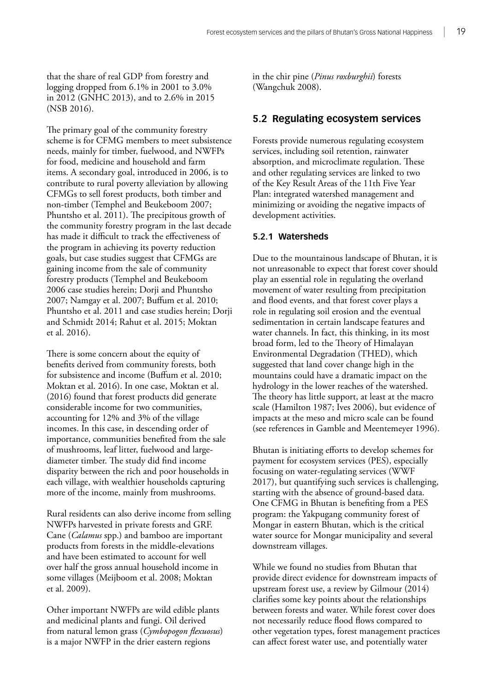<span id="page-26-0"></span>that the share of real GDP from forestry and logging dropped from 6.1% in 2001 to 3.0% in 2012 (GNHC 2013), and to 2.6% in 2015 (NSB 2016).

The primary goal of the community forestry scheme is for CFMG members to meet subsistence needs, mainly for timber, fuelwood, and NWFPs for food, medicine and household and farm items. A secondary goal, introduced in 2006, is to contribute to rural poverty alleviation by allowing CFMGs to sell forest products, both timber and non-timber (Temphel and Beukeboom 2007; Phuntsho et al. 2011). The precipitous growth of the community forestry program in the last decade has made it difficult to track the effectiveness of the program in achieving its poverty reduction goals, but case studies suggest that CFMGs are gaining income from the sale of community forestry products (Temphel and Beukeboom 2006 case studies herein; Dorji and Phuntsho 2007; Namgay et al. 2007; Buffum et al. 2010; Phuntsho et al. 2011 and case studies herein; Dorji and Schmidt 2014; Rahut et al. 2015; Moktan et al. 2016).

There is some concern about the equity of benefits derived from community forests, both for subsistence and income (Buffum et al. 2010; Moktan et al. 2016). In one case, Moktan et al. (2016) found that forest products did generate considerable income for two communities, accounting for 12% and 3% of the village incomes. In this case, in descending order of importance, communities benefited from the sale of mushrooms, leaf litter, fuelwood and largediameter timber. The study did find income disparity between the rich and poor households in each village, with wealthier households capturing more of the income, mainly from mushrooms.

Rural residents can also derive income from selling NWFPs harvested in private forests and GRF. Cane (*Calamus* spp.) and bamboo are important products from forests in the middle-elevations and have been estimated to account for well over half the gross annual household income in some villages (Meijboom et al. 2008; Moktan et al. 2009).

Other important NWFPs are wild edible plants and medicinal plants and fungi. Oil derived from natural lemon grass (*Cymbopogon flexuosus*) is a major NWFP in the drier eastern regions

in the chir pine (*Pinus roxburghii*) forests (Wangchuk 2008).

### **5.2 Regulating ecosystem services**

Forests provide numerous regulating ecosystem services, including soil retention, rainwater absorption, and microclimate regulation. These and other regulating services are linked to two of the Key Result Areas of the 11th Five Year Plan: integrated watershed management and minimizing or avoiding the negative impacts of development activities.

#### **5.2.1 Watersheds**

Due to the mountainous landscape of Bhutan, it is not unreasonable to expect that forest cover should play an essential role in regulating the overland movement of water resulting from precipitation and flood events, and that forest cover plays a role in regulating soil erosion and the eventual sedimentation in certain landscape features and water channels. In fact, this thinking, in its most broad form, led to the Theory of Himalayan Environmental Degradation (THED), which suggested that land cover change high in the mountains could have a dramatic impact on the hydrology in the lower reaches of the watershed. The theory has little support, at least at the macro scale (Hamilton 1987; Ives 2006), but evidence of impacts at the meso and micro scale can be found (see references in Gamble and Meentemeyer 1996).

Bhutan is initiating efforts to develop schemes for payment for ecosystem services (PES), especially focusing on water-regulating services (WWF 2017), but quantifying such services is challenging, starting with the absence of ground-based data. One CFMG in Bhutan is benefiting from a PES program: the Yakpugang community forest of Mongar in eastern Bhutan, which is the critical water source for Mongar municipality and several downstream villages.

While we found no studies from Bhutan that provide direct evidence for downstream impacts of upstream forest use, a review by Gilmour (2014) clarifies some key points about the relationships between forests and water. While forest cover does not necessarily reduce flood flows compared to other vegetation types, forest management practices can affect forest water use, and potentially water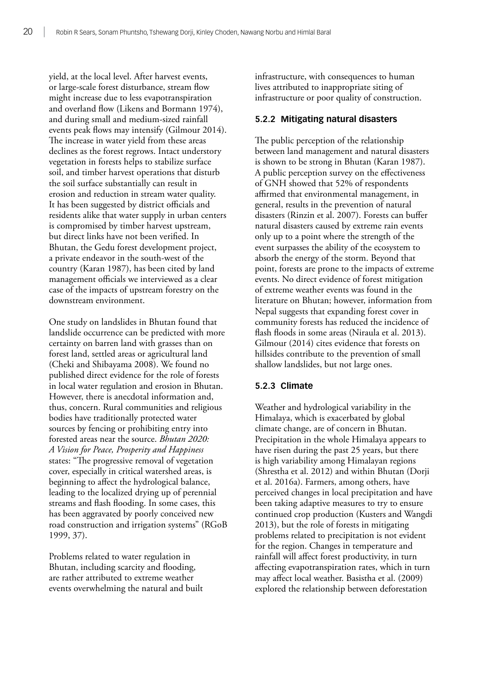yield, at the local level. After harvest events, or large-scale forest disturbance, stream flow might increase due to less evapotranspiration and overland flow (Likens and Bormann 1974), and during small and medium-sized rainfall events peak flows may intensify (Gilmour 2014). The increase in water yield from these areas declines as the forest regrows. Intact understory vegetation in forests helps to stabilize surface soil, and timber harvest operations that disturb the soil surface substantially can result in erosion and reduction in stream water quality. It has been suggested by district officials and residents alike that water supply in urban centers is compromised by timber harvest upstream, but direct links have not been verified. In Bhutan, the Gedu forest development project, a private endeavor in the south-west of the country (Karan 1987), has been cited by land management officials we interviewed as a clear case of the impacts of upstream forestry on the downstream environment.

One study on landslides in Bhutan found that landslide occurrence can be predicted with more certainty on barren land with grasses than on forest land, settled areas or agricultural land (Cheki and Shibayama 2008). We found no published direct evidence for the role of forests in local water regulation and erosion in Bhutan. However, there is anecdotal information and, thus, concern. Rural communities and religious bodies have traditionally protected water sources by fencing or prohibiting entry into forested areas near the source. *Bhutan 2020: A Vision for Peace, Prosperity and Happiness* states: "The progressive removal of vegetation cover, especially in critical watershed areas, is beginning to affect the hydrological balance, leading to the localized drying up of perennial streams and flash flooding. In some cases, this has been aggravated by poorly conceived new road construction and irrigation systems" (RGoB 1999, 37).

Problems related to water regulation in Bhutan, including scarcity and flooding, are rather attributed to extreme weather events overwhelming the natural and built infrastructure, with consequences to human lives attributed to inappropriate siting of infrastructure or poor quality of construction.

#### **5.2.2 Mitigating natural disasters**

The public perception of the relationship between land management and natural disasters is shown to be strong in Bhutan (Karan 1987). A public perception survey on the effectiveness of GNH showed that 52% of respondents affirmed that environmental management, in general, results in the prevention of natural disasters (Rinzin et al. 2007). Forests can buffer natural disasters caused by extreme rain events only up to a point where the strength of the event surpasses the ability of the ecosystem to absorb the energy of the storm. Beyond that point, forests are prone to the impacts of extreme events. No direct evidence of forest mitigation of extreme weather events was found in the literature on Bhutan; however, information from Nepal suggests that expanding forest cover in community forests has reduced the incidence of flash floods in some areas (Niraula et al. 2013). Gilmour (2014) cites evidence that forests on hillsides contribute to the prevention of small shallow landslides, but not large ones.

#### **5.2.3 Climate**

Weather and hydrological variability in the Himalaya, which is exacerbated by global climate change, are of concern in Bhutan. Precipitation in the whole Himalaya appears to have risen during the past 25 years, but there is high variability among Himalayan regions (Shrestha et al. 2012) and within Bhutan (Dorji et al. 2016a). Farmers, among others, have perceived changes in local precipitation and have been taking adaptive measures to try to ensure continued crop production (Kusters and Wangdi 2013), but the role of forests in mitigating problems related to precipitation is not evident for the region. Changes in temperature and rainfall will affect forest productivity, in turn affecting evapotranspiration rates, which in turn may affect local weather. Basistha et al. (2009) explored the relationship between deforestation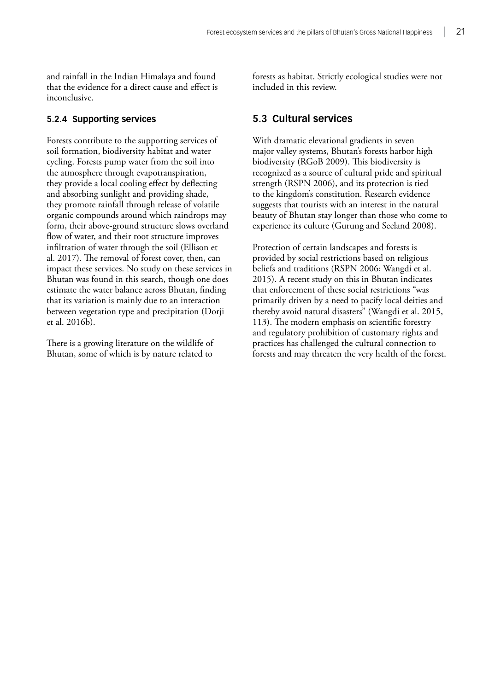<span id="page-28-0"></span>and rainfall in the Indian Himalaya and found that the evidence for a direct cause and effect is inconclusive.

#### **5.2.4 Supporting services**

Forests contribute to the supporting services of soil formation, biodiversity habitat and water cycling. Forests pump water from the soil into the atmosphere through evapotranspiration, they provide a local cooling effect by deflecting and absorbing sunlight and providing shade, they promote rainfall through release of volatile organic compounds around which raindrops may form, their above-ground structure slows overland flow of water, and their root structure improves infiltration of water through the soil (Ellison et al. 2017). The removal of forest cover, then, can impact these services. No study on these services in Bhutan was found in this search, though one does estimate the water balance across Bhutan, finding that its variation is mainly due to an interaction between vegetation type and precipitation (Dorji et al. 2016b).

There is a growing literature on the wildlife of Bhutan, some of which is by nature related to

forests as habitat. Strictly ecological studies were not included in this review.

### **5.3 Cultural services**

With dramatic elevational gradients in seven major valley systems, Bhutan's forests harbor high biodiversity (RGoB 2009). This biodiversity is recognized as a source of cultural pride and spiritual strength (RSPN 2006), and its protection is tied to the kingdom's constitution. Research evidence suggests that tourists with an interest in the natural beauty of Bhutan stay longer than those who come to experience its culture (Gurung and Seeland 2008).

Protection of certain landscapes and forests is provided by social restrictions based on religious beliefs and traditions (RSPN 2006; Wangdi et al. 2015). A recent study on this in Bhutan indicates that enforcement of these social restrictions "was primarily driven by a need to pacify local deities and thereby avoid natural disasters" (Wangdi et al. 2015, 113). The modern emphasis on scientific forestry and regulatory prohibition of customary rights and practices has challenged the cultural connection to forests and may threaten the very health of the forest.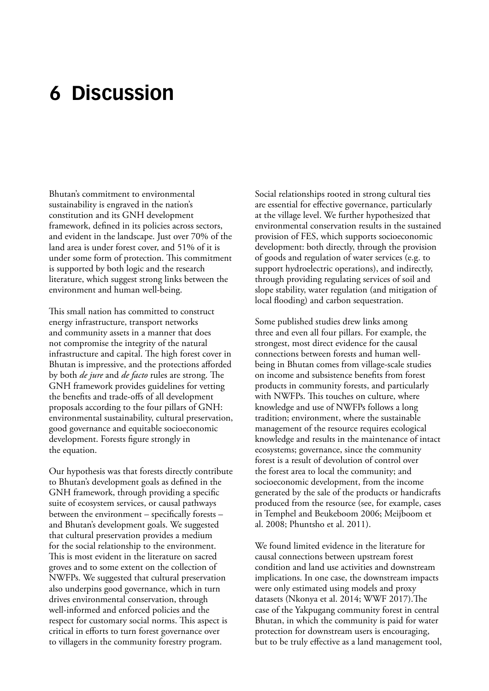# <span id="page-29-0"></span>**6 Discussion**

Bhutan's commitment to environmental sustainability is engraved in the nation's constitution and its GNH development framework, defined in its policies across sectors, and evident in the landscape. Just over 70% of the land area is under forest cover, and 51% of it is under some form of protection. This commitment is supported by both logic and the research literature, which suggest strong links between the environment and human well-being.

This small nation has committed to construct energy infrastructure, transport networks and community assets in a manner that does not compromise the integrity of the natural infrastructure and capital. The high forest cover in Bhutan is impressive, and the protections afforded by both *de jure* and *de facto* rules are strong. The GNH framework provides guidelines for vetting the benefits and trade-offs of all development proposals according to the four pillars of GNH: environmental sustainability, cultural preservation, good governance and equitable socioeconomic development. Forests figure strongly in the equation.

Our hypothesis was that forests directly contribute to Bhutan's development goals as defined in the GNH framework, through providing a specific suite of ecosystem services, or causal pathways between the environment – specifically forests – and Bhutan's development goals. We suggested that cultural preservation provides a medium for the social relationship to the environment. This is most evident in the literature on sacred groves and to some extent on the collection of NWFPs. We suggested that cultural preservation also underpins good governance, which in turn drives environmental conservation, through well-informed and enforced policies and the respect for customary social norms. This aspect is critical in efforts to turn forest governance over to villagers in the community forestry program.

Social relationships rooted in strong cultural ties are essential for effective governance, particularly at the village level. We further hypothesized that environmental conservation results in the sustained provision of FES, which supports socioeconomic development: both directly, through the provision of goods and regulation of water services (e.g. to support hydroelectric operations), and indirectly, through providing regulating services of soil and slope stability, water regulation (and mitigation of local flooding) and carbon sequestration.

Some published studies drew links among three and even all four pillars. For example, the strongest, most direct evidence for the causal connections between forests and human wellbeing in Bhutan comes from village-scale studies on income and subsistence benefits from forest products in community forests, and particularly with NWFPs. This touches on culture, where knowledge and use of NWFPs follows a long tradition; environment, where the sustainable management of the resource requires ecological knowledge and results in the maintenance of intact ecosystems; governance, since the community forest is a result of devolution of control over the forest area to local the community; and socioeconomic development, from the income generated by the sale of the products or handicrafts produced from the resource (see, for example, cases in Temphel and Beukeboom 2006; Meijboom et al. 2008; Phuntsho et al. 2011).

We found limited evidence in the literature for causal connections between upstream forest condition and land use activities and downstream implications. In one case, the downstream impacts were only estimated using models and proxy datasets (Nkonya et al. 2014; WWF 2017).The case of the Yakpugang community forest in central Bhutan, in which the community is paid for water protection for downstream users is encouraging, but to be truly effective as a land management tool,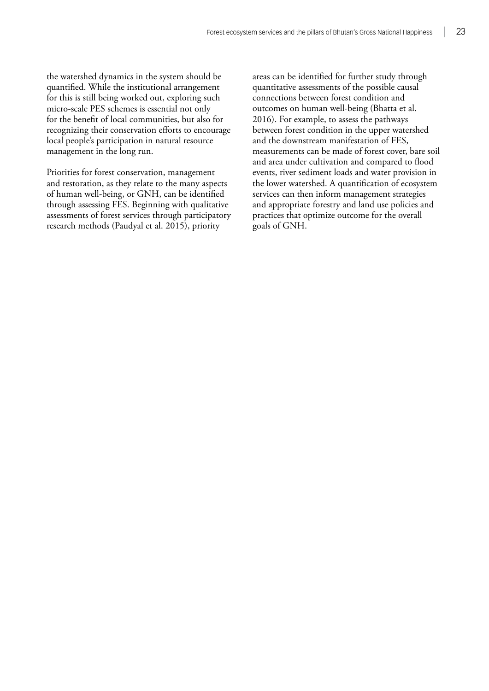the watershed dynamics in the system should be quantified. While the institutional arrangement for this is still being worked out, exploring such micro-scale PES schemes is essential not only for the benefit of local communities, but also for recognizing their conservation efforts to encourage local people's participation in natural resource management in the long run.

Priorities for forest conservation, management and restoration, as they relate to the many aspects of human well-being, or GNH, can be identified through assessing FES. Beginning with qualitative assessments of forest services through participatory research methods (Paudyal et al. 2015), priority

areas can be identified for further study through quantitative assessments of the possible causal connections between forest condition and outcomes on human well-being (Bhatta et al. 2016). For example, to assess the pathways between forest condition in the upper watershed and the downstream manifestation of FES, measurements can be made of forest cover, bare soil and area under cultivation and compared to flood events, river sediment loads and water provision in the lower watershed. A quantification of ecosystem services can then inform management strategies and appropriate forestry and land use policies and practices that optimize outcome for the overall goals of GNH.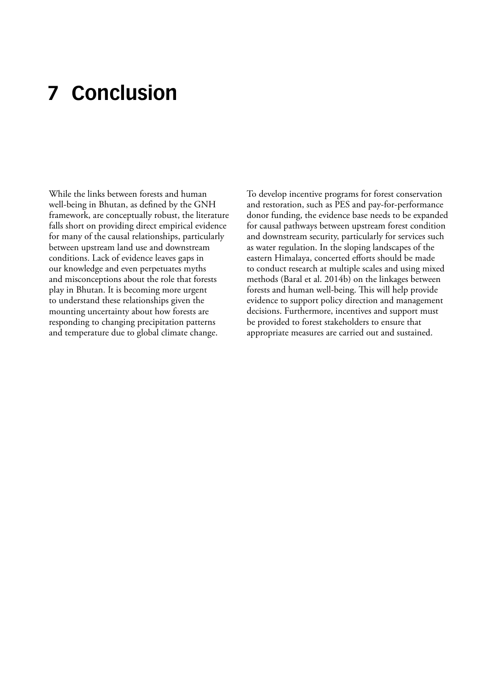# <span id="page-31-0"></span>**7 Conclusion**

While the links between forests and human well-being in Bhutan, as defined by the GNH framework, are conceptually robust, the literature falls short on providing direct empirical evidence for many of the causal relationships, particularly between upstream land use and downstream conditions. Lack of evidence leaves gaps in our knowledge and even perpetuates myths and misconceptions about the role that forests play in Bhutan. It is becoming more urgent to understand these relationships given the mounting uncertainty about how forests are responding to changing precipitation patterns and temperature due to global climate change.

To develop incentive programs for forest conservation and restoration, such as PES and pay-for-performance donor funding, the evidence base needs to be expanded for causal pathways between upstream forest condition and downstream security, particularly for services such as water regulation. In the sloping landscapes of the eastern Himalaya, concerted efforts should be made to conduct research at multiple scales and using mixed methods (Baral et al. 2014b) on the linkages between forests and human well-being. This will help provide evidence to support policy direction and management decisions. Furthermore, incentives and support must be provided to forest stakeholders to ensure that appropriate measures are carried out and sustained.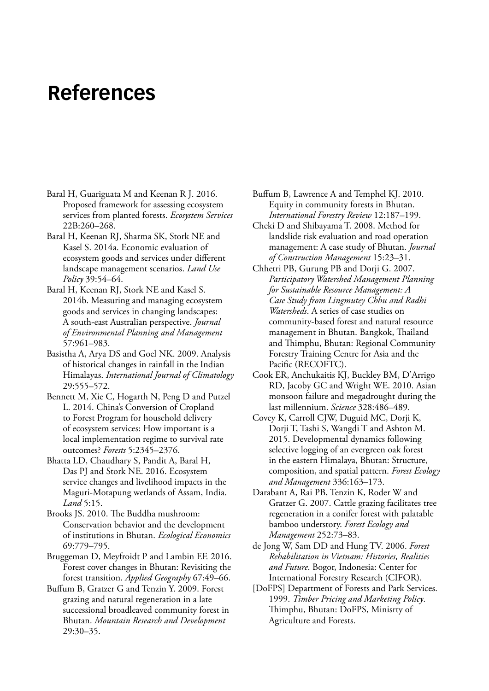# <span id="page-32-0"></span>**References**

- Baral H, Guariguata M and Keenan R J. 2016. Proposed framework for assessing ecosystem services from planted forests. *Ecosystem Services* 22B:260–268.
- Baral H, Keenan RJ, Sharma SK, Stork NE and Kasel S. 2014a. Economic evaluation of ecosystem goods and services under different landscape management scenarios. *Land Use Policy* 39:54–64.
- Baral H, Keenan RJ, Stork NE and Kasel S. 2014b. Measuring and managing ecosystem goods and services in changing landscapes: A south-east Australian perspective. *Journal of Environmental Planning and Management* 57:961–983.
- Basistha A, Arya DS and Goel NK. 2009. Analysis of historical changes in rainfall in the Indian Himalayas. *International Journal of Climatology* 29:555–572.
- Bennett M, Xie C, Hogarth N, Peng D and Putzel L. 2014. China's Conversion of Cropland to Forest Program for household delivery of ecosystem services: How important is a local implementation regime to survival rate outcomes? *Forests* 5:2345–2376.
- Bhatta LD, Chaudhary S, Pandit A, Baral H, Das PJ and Stork NE. 2016. Ecosystem service changes and livelihood impacts in the Maguri-Motapung wetlands of Assam, India. *Land* 5:15.
- Brooks JS. 2010. The Buddha mushroom: Conservation behavior and the development of institutions in Bhutan. *Ecological Economics* 69:779–795.
- Bruggeman D, Meyfroidt P and Lambin EF. 2016. Forest cover changes in Bhutan: Revisiting the forest transition. *Applied Geography* 67:49–66.
- Buffum B, Gratzer G and Tenzin Y. 2009. Forest grazing and natural regeneration in a late successional broadleaved community forest in Bhutan. *Mountain Research and Development* 29:30–35.

Buffum B, Lawrence A and Temphel KJ. 2010. Equity in community forests in Bhutan. *International Forestry Review* 12:187–199.

- Cheki D and Shibayama T. 2008. Method for landslide risk evaluation and road operation management: A case study of Bhutan. *Journal of Construction Management* 15:23–31.
- Chhetri PB, Gurung PB and Dorji G. 2007. *Participatory Watershed Management Planning for Sustainable Resource Management: A Case Study from Lingmutey Chhu and Radhi Watersheds*. A series of case studies on community-based forest and natural resource management in Bhutan. Bangkok, Thailand and Thimphu, Bhutan: Regional Community Forestry Training Centre for Asia and the Pacific (RECOFTC).
- Cook ER, Anchukaitis KJ, Buckley BM, D'Arrigo RD, Jacoby GC and Wright WE. 2010. Asian monsoon failure and megadrought during the last millennium. *Science* 328:486–489.
- Covey K, Carroll CJW, Duguid MC, Dorji K, Dorji T, Tashi S, Wangdi T and Ashton M. 2015. Developmental dynamics following selective logging of an evergreen oak forest in the eastern Himalaya, Bhutan: Structure, composition, and spatial pattern. *Forest Ecology and Management* 336:163–173.
- Darabant A, Rai PB, Tenzin K, Roder W and Gratzer G. 2007. Cattle grazing facilitates tree regeneration in a conifer forest with palatable bamboo understory. *Forest Ecology and Management* 252:73–83.
- de Jong W, Sam DD and Hung TV. 2006. *Forest Rehabilitation in Vietnam: Histories, Realities and Future*. Bogor, Indonesia: Center for International Forestry Research (CIFOR).
- [DoFPS] Department of Forests and Park Services. 1999. *Timber Pricing and Marketing Policy*. Thimphu, Bhutan: DoFPS, Minisrty of Agriculture and Forests.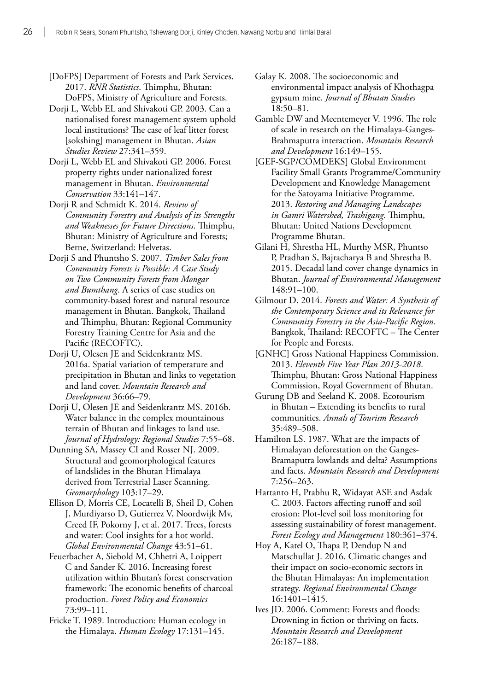[DoFPS] Department of Forests and Park Services. 2017. *RNR Statistics*. Thimphu, Bhutan: DoFPS, Ministry of Agriculture and Forests.

Dorji L, Webb EL and Shivakoti GP. 2003. Can a nationalised forest management system uphold local institutions? The case of leaf litter forest [sokshing] management in Bhutan. *Asian Studies Review* 27:341–359.

Dorji L, Webb EL and Shivakoti GP. 2006. Forest property rights under nationalized forest management in Bhutan. *Environmental Conservation* 33:141–147.

Dorji R and Schmidt K. 2014. *Review of Community Forestry and Analysis of its Strengths and Weaknesses for Future Directions*. Thimphu, Bhutan: Ministry of Agriculture and Forests; Berne, Switzerland: Helvetas.

Dorji S and Phuntsho S. 2007. *Timber Sales from Community Forests is Possible: A Case Study on Two Community Forests from Mongar and Bumthang*. A series of case studies on community-based forest and natural resource management in Bhutan. Bangkok, Thailand and Thimphu, Bhutan: Regional Community Forestry Training Centre for Asia and the Pacific (RECOFTC).

Dorji U, Olesen JE and Seidenkrantz MS. 2016a. Spatial variation of temperature and precipitation in Bhutan and links to vegetation and land cover. *Mountain Research and Development* 36:66–79.

Dorji U, Olesen JE and Seidenkrantz MS. 2016b. Water balance in the complex mountainous terrain of Bhutan and linkages to land use. *Journal of Hydrology: Regional Studies* 7:55–68.

Dunning SA, Massey CI and Rosser NJ. 2009. Structural and geomorphological features of landslides in the Bhutan Himalaya derived from Terrestrial Laser Scanning. *Geomorphology* 103:17–29.

Ellison D, Morris CE, Locatelli B, Sheil D, Cohen J, Murdiyarso D, Gutierrez V, Noordwijk Mv, Creed IF, Pokorny J, et al. 2017. Trees, forests and water: Cool insights for a hot world. *Global Environmental Change* 43:51–61.

Feuerbacher A, Siebold M, Chhetri A, Loippert C and Sander K. 2016. Increasing forest utilization within Bhutan's forest conservation framework: The economic benefits of charcoal production. *Forest Policy and Economics* 73:99–111.

Fricke T. 1989. Introduction: Human ecology in the Himalaya. *Human Ecology* 17:131–145.

Galay K. 2008. The socioeconomic and environmental impact analysis of Khothagpa gypsum mine. *Journal of Bhutan Studies* 18:50–81.

Gamble DW and Meentemeyer V. 1996. The role of scale in research on the Himalaya-Ganges-Brahmaputra interaction. *Mountain Research and Development* 16:149–155.

[GEF-SGP/COMDEKS] Global Environment Facility Small Grants Programme/Community Development and Knowledge Management for the Satoyama Initiative Programme. 2013. *Restoring and Managing Landscapes in Gamri Watershed, Trashigang*. Thimphu, Bhutan: United Nations Development Programme Bhutan.

Gilani H, Shrestha HL, Murthy MSR, Phuntso P, Pradhan S, Bajracharya B and Shrestha B. 2015. Decadal land cover change dynamics in Bhutan. *Journal of Environmental Management* 148:91–100.

Gilmour D. 2014. *Forests and Water: A Synthesis of the Contemporary Science and its Relevance for Community Forestry in the Asia-Pacific Region*. Bangkok, Thailand: RECOFTC – The Center for People and Forests.

[GNHC] Gross National Happiness Commission. 2013. *Eleventh Five Year Plan 2013-2018*. Thimphu, Bhutan: Gross National Happiness Commission, Royal Government of Bhutan.

Gurung DB and Seeland K. 2008. Ecotourism in Bhutan – Extending its benefits to rural communities. *Annals of Tourism Research* 35:489–508.

Hamilton LS. 1987. What are the impacts of Himalayan deforestation on the Ganges-Bramaputra lowlands and delta? Assumptions and facts. *Mountain Research and Development* 7:256–263.

Hartanto H, Prabhu R, Widayat ASE and Asdak C. 2003. Factors affecting runoff and soil erosion: Plot-level soil loss monitoring for assessing sustainability of forest management. *Forest Ecology and Management* 180:361–374.

Hoy A, Katel O, Thapa P, Dendup N and Matschullat J. 2016. Climatic changes and their impact on socio-economic sectors in the Bhutan Himalayas: An implementation strategy. *Regional Environmental Change* 16:1401–1415.

Ives JD. 2006. Comment: Forests and floods: Drowning in fiction or thriving on facts. *Mountain Research and Development* 26:187–188.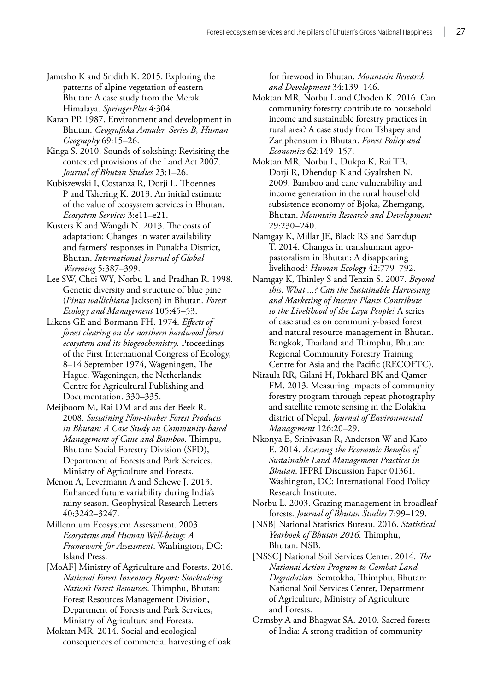Jamtsho K and Sridith K. 2015. Exploring the patterns of alpine vegetation of eastern Bhutan: A case study from the Merak Himalaya. *SpringerPlus* 4:304.

Karan PP. 1987. Environment and development in Bhutan. *Geografiska Annaler. Series B, Human Geography* 69:15–26.

Kinga S. 2010. Sounds of sokshing: Revisiting the contexted provisions of the Land Act 2007. *Journal of Bhutan Studies* 23:1–26.

Kubiszewski I, Costanza R, Dorji L, Thoennes P and Tshering K. 2013. An initial estimate of the value of ecosystem services in Bhutan. *Ecosystem Services* 3:e11–e21.

Kusters K and Wangdi N. 2013. The costs of adaptation: Changes in water availability and farmers' responses in Punakha District, Bhutan. *International Journal of Global Warming* 5:387–399.

Lee SW, Choi WY, Norbu L and Pradhan R. 1998. Genetic diversity and structure of blue pine (*Pinus wallichiana* Jackson) in Bhutan. *Forest Ecology and Management* 105:45–53.

Likens GE and Bormann FH. 1974. *Effects of forest clearing on the northern hardwood forest ecosystem and its biogeochemistry*. Proceedings of the First International Congress of Ecology, 8–14 September 1974, Wageningen, The Hague. Wageningen, the Netherlands: Centre for Agricultural Publishing and Documentation. 330–335.

Meijboom M, Rai DM and aus der Beek R. 2008. *Sustaining Non-timber Forest Products in Bhutan: A Case Study on Community-based Management of Cane and Bamboo*. Thimpu, Bhutan: Social Forestry Division (SFD), Department of Forests and Park Services, Ministry of Agriculture and Forests.

Menon A, Levermann A and Schewe J. 2013. Enhanced future variability during India's rainy season. Geophysical Research Letters 40:3242–3247.

Millennium Ecosystem Assessment. 2003. *Ecosystems and Human Well-being: A Framework for Assessment*. Washington, DC: Island Press.

[MoAF] Ministry of Agriculture and Forests. 2016. *National Forest Inventory Report: Stocktaking Nation's Forest Resources*. Thimphu, Bhutan: Forest Resources Management Division, Department of Forests and Park Services, Ministry of Agriculture and Forests.

Moktan MR. 2014. Social and ecological consequences of commercial harvesting of oak for firewood in Bhutan. *Mountain Research and Development* 34:139–146.

Moktan MR, Norbu L and Choden K. 2016. Can community forestry contribute to household income and sustainable forestry practices in rural area? A case study from Tshapey and Zariphensum in Bhutan. *Forest Policy and Economics* 62:149–157.

Moktan MR, Norbu L, Dukpa K, Rai TB, Dorji R, Dhendup K and Gyaltshen N. 2009. Bamboo and cane vulnerability and income generation in the rural household subsistence economy of Bjoka, Zhemgang, Bhutan. *Mountain Research and Development* 29:230–240.

Namgay K, Millar JE, Black RS and Samdup T. 2014. Changes in transhumant agropastoralism in Bhutan: A disappearing livelihood? *Human Ecology* 42:779–792.

Namgay K, Thinley S and Tenzin S. 2007. *Beyond this, What ...? Can the Sustainable Harvesting and Marketing of Incense Plants Contribute to the Livelihood of the Laya People?* A series of case studies on community-based forest and natural resource management in Bhutan. Bangkok, Thailand and Thimphu, Bhutan: Regional Community Forestry Training Centre for Asia and the Pacific (RECOFTC).

Niraula RR, Gilani H, Pokharel BK and Qamer FM. 2013. Measuring impacts of community forestry program through repeat photography and satellite remote sensing in the Dolakha district of Nepal. *Journal of Environmental Management* 126:20–29.

Nkonya E, Srinivasan R, Anderson W and Kato E. 2014. *Assessing the Economic Benefits of Sustainable Land Management Practices in Bhutan*. IFPRI Discussion Paper 01361. Washington, DC: International Food Policy Research Institute.

Norbu L. 2003. Grazing management in broadleaf forests. *Journal of Bhutan Studies* 7:99–129.

[NSB] National Statistics Bureau. 2016. *Statistical Yearbook of Bhutan 2016*. Thimphu, Bhutan: NSB.

[NSSC] National Soil Services Center. 2014. *The National Action Program to Combat Land Degradation.* Semtokha, Thimphu, Bhutan: National Soil Services Center, Department of Agriculture, Ministry of Agriculture and Forests.

Ormsby A and Bhagwat SA. 2010. Sacred forests of India: A strong tradition of community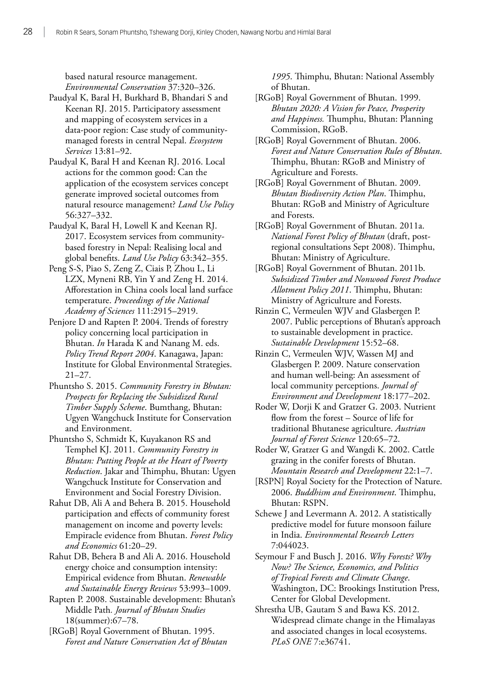based natural resource management. *Environmental Conservation* 37:320–326.

Paudyal K, Baral H, Burkhard B, Bhandari S and Keenan RJ. 2015. Participatory assessment and mapping of ecosystem services in a data-poor region: Case study of communitymanaged forests in central Nepal. *Ecosystem Services* 13:81–92.

Paudyal K, Baral H and Keenan RJ. 2016. Local actions for the common good: Can the application of the ecosystem services concept generate improved societal outcomes from natural resource management? *Land Use Policy* 56:327–332.

Paudyal K, Baral H, Lowell K and Keenan RJ. 2017. Ecosystem services from communitybased forestry in Nepal: Realising local and global benefits. *Land Use Policy* 63:342–355.

Peng S-S, Piao S, Zeng Z, Ciais P, Zhou L, Li LZX, Myneni RB, Yin Y and Zeng H. 2014. Afforestation in China cools local land surface temperature. *Proceedings of the National Academy of Sciences* 111:2915–2919.

Penjore D and Rapten P. 2004. Trends of forestry policy concerning local participation in Bhutan. *In* Harada K and Nanang M. eds. *Policy Trend Report 2004*. Kanagawa, Japan: Institute for Global Environmental Strategies. 21–27.

Phuntsho S. 2015. *Community Forestry in Bhutan: Prospects for Replacing the Subsidized Rural Timber Supply Scheme*. Bumthang, Bhutan: Ugyen Wangchuck Institute for Conservation and Environment.

Phuntsho S, Schmidt K, Kuyakanon RS and Temphel KJ. 2011. *Community Forestry in Bhutan: Putting People at the Heart of Poverty Reduction*. Jakar and Thimphu, Bhutan: Ugyen Wangchuck Institute for Conservation and Environment and Social Forestry Division.

Rahut DB, Ali A and Behera B. 2015. Household participation and effects of community forest management on income and poverty levels: Empiracle evidence from Bhutan. *Forest Policy and Economics* 61:20–29.

Rahut DB, Behera B and Ali A. 2016. Household energy choice and consumption intensity: Empirical evidence from Bhutan. *Renewable and Sustainable Energy Reviews* 53:993–1009.

Rapten P. 2008. Sustainable development: Bhutan's Middle Path*. Journal of Bhutan Studies*  18(summer):67–78.

[RGoB] Royal Government of Bhutan. 1995. *Forest and Nature Conservation Act of Bhutan*  *1995*. Thimphu, Bhutan: National Assembly of Bhutan.

[RGoB] Royal Government of Bhutan. 1999. *Bhutan 2020: A Vision for Peace, Prosperity and Happiness.* Thumphu, Bhutan: Planning Commission, RGoB.

[RGoB] Royal Government of Bhutan. 2006. *Forest and Nature Conservation Rules of Bhutan*. Thimphu, Bhutan: RGoB and Ministry of Agriculture and Forests.

[RGoB] Royal Government of Bhutan. 2009. *Bhutan Biodiversity Action Plan*. Thimphu, Bhutan: RGoB and Ministry of Agriculture and Forests.

[RGoB] Royal Government of Bhutan. 2011a. *National Forest Policy of Bhutan* (draft, postregional consultations Sept 2008). Thimphu, Bhutan: Ministry of Agriculture.

[RGoB] Royal Government of Bhutan. 2011b. *Subsidized Timber and Nonwood Forest Produce Allotment Policy 2011*. Thimphu, Bhutan: Ministry of Agriculture and Forests.

Rinzin C, Vermeulen WJV and Glasbergen P. 2007. Public perceptions of Bhutan's approach to sustainable development in practice. *Sustainable Development* 15:52–68.

Rinzin C, Vermeulen WJV, Wassen MJ and Glasbergen P. 2009. Nature conservation and human well-being: An assessment of local community perceptions. *Journal of Environment and Development* 18:177–202.

Roder W, Dorji K and Gratzer G. 2003. Nutrient flow from the forest – Source of life for traditional Bhutanese agriculture. *Austrian Journal of Forest Science* 120:65–72.

Roder W, Gratzer G and Wangdi K. 2002. Cattle grazing in the conifer forests of Bhutan. *Mountain Research and Development* 22:1–7.

[RSPN] Royal Society for the Protection of Nature. 2006. *Buddhism and Environment*. Thimphu, Bhutan: RSPN.

Schewe J and Levermann A. 2012. A statistically predictive model for future monsoon failure in India. *Environmental Research Letters*  7:044023.

Seymour F and Busch J. 2016. *Why Forests? Why Now? The Science, Economics, and Politics of Tropical Forests and Climate Change*. Washington, DC: Brookings Institution Press, Center for Global Development.

Shrestha UB, Gautam S and Bawa KS. 2012. Widespread climate change in the Himalayas and associated changes in local ecosystems. *PLoS ONE* 7:e36741.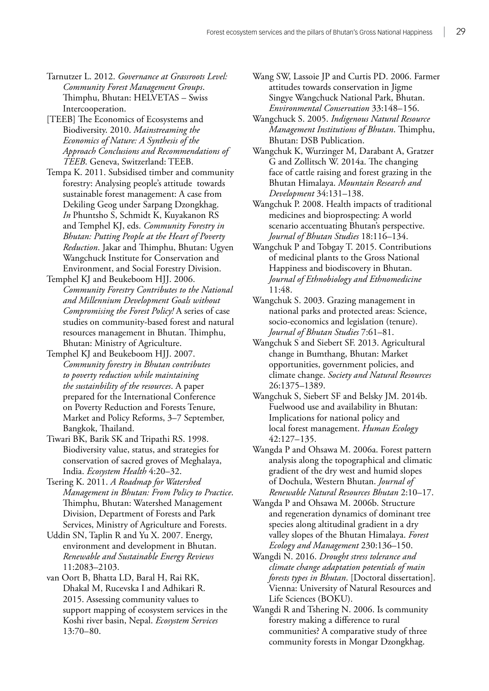- Tarnutzer L. 2012. *Governance at Grassroots Level: Community Forest Management Groups*. Thimphu, Bhutan: HELVETAS – Swiss Intercooperation.
- [TEEB] The Economics of Ecosystems and Biodiversity. 2010. *Mainstreaming the Economics of Nature: A Synthesis of the Approach Conclusions and Recommendations of TEEB*. Geneva, Switzerland: TEEB.
- Tempa K. 2011. Subsidised timber and community forestry: Analysing people's attitude towards sustainable forest management: A case from Dekiling Geog under Sarpang Dzongkhag. *In* Phuntsho S, Schmidt K, Kuyakanon RS and Temphel KJ, eds. *Community Forestry in Bhutan: Putting People at the Heart of Poverty Reduction*. Jakar and Thimphu, Bhutan: Ugyen Wangchuck Institute for Conservation and Environment, and Social Forestry Division.
- Temphel KJ and Beukeboom HJJ. 2006. *Community Forestry Contributes to the National and Millennium Development Goals without Compromising the Forest Policy!* A series of case studies on community-based forest and natural resources management in Bhutan. Thimphu, Bhutan: Ministry of Agriculture.
- Temphel KJ and Beukeboom HJJ. 2007. *Community forestry in Bhutan contributes to poverty reduction while maintaining the sustainbility of the resources*. A paper prepared for the International Conference on Poverty Reduction and Forests Tenure, Market and Policy Reforms, 3–7 September, Bangkok, Thailand.
- Tiwari BK, Barik SK and Tripathi RS. 1998. Biodiversity value, status, and strategies for conservation of sacred groves of Meghalaya, India. *Ecosystem Health* 4:20–32.
- Tsering K. 2011. *A Roadmap for Watershed Management in Bhutan: From Policy to Practice*. Thimphu, Bhutan: Watershed Management Division, Department of Forests and Park Services, Ministry of Agriculture and Forests.
- Uddin SN, Taplin R and Yu X. 2007. Energy, environment and development in Bhutan. *Renewable and Sustainable Energy Reviews* 11:2083–2103.
- van Oort B, Bhatta LD, Baral H, Rai RK, Dhakal M, Rucevska I and Adhikari R. 2015. Assessing community values to support mapping of ecosystem services in the Koshi river basin, Nepal. *Ecosystem Services* 13:70–80.
- Wang SW, Lassoie JP and Curtis PD. 2006. Farmer attitudes towards conservation in Jigme Singye Wangchuck National Park, Bhutan. *Environmental Conservation* 33:148–156.
- Wangchuck S. 2005. *Indigenous Natural Resource Management Institutions of Bhutan*. Thimphu, Bhutan: DSB Publication.
- Wangchuk K, Wurzinger M, Darabant A, Gratzer G and Zollitsch W. 2014a. The changing face of cattle raising and forest grazing in the Bhutan Himalaya. *Mountain Research and Development* 34:131–138.
- Wangchuk P. 2008. Health impacts of traditional medicines and bioprospecting: A world scenario accentuating Bhutan's perspective. *Journal of Bhutan Studies* 18:116–134.
- Wangchuk P and Tobgay T. 2015. Contributions of medicinal plants to the Gross National Happiness and biodiscovery in Bhutan. *Journal of Ethnobiology and Ethnomedicine*  11:48.
- Wangchuk S. 2003. Grazing management in national parks and protected areas: Science, socio-economics and legislation (tenure). *Journal of Bhutan Studies* 7:61–81.
- Wangchuk S and Siebert SF. 2013. Agricultural change in Bumthang, Bhutan: Market opportunities, government policies, and climate change. *Society and Natural Resources* 26:1375–1389.
- Wangchuk S, Siebert SF and Belsky JM. 2014b. Fuelwood use and availability in Bhutan: Implications for national policy and local forest management. *Human Ecology* 42:127–135.
- Wangda P and Ohsawa M. 2006a. Forest pattern analysis along the topographical and climatic gradient of the dry west and humid slopes of Dochula, Western Bhutan. *Journal of Renewable Natural Resources Bhutan* 2:10–17.
- Wangda P and Ohsawa M. 2006b. Structure and regeneration dynamics of dominant tree species along altitudinal gradient in a dry valley slopes of the Bhutan Himalaya. *Forest Ecology and Management* 230:136–150.
- Wangdi N. 2016. *Drought stress tolerance and climate change adaptation potentials of main forests types in Bhutan*. [Doctoral dissertation]. Vienna: University of Natural Resources and Life Sciences (BOKU).
- Wangdi R and Tshering N. 2006. Is community forestry making a difference to rural communities? A comparative study of three community forests in Mongar Dzongkhag.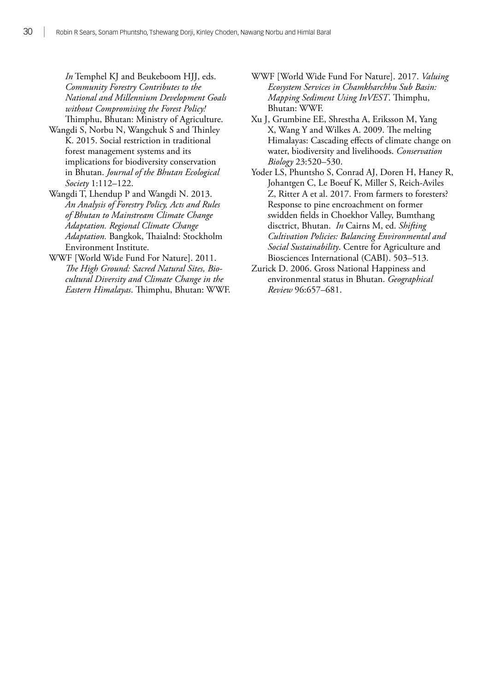*In* Temphel KJ and Beukeboom HJJ, eds. *Community Forestry Contributes to the National and Millennium Development Goals without Compromising the Forest Policy!* Thimphu, Bhutan: Ministry of Agriculture.

- Wangdi S, Norbu N, Wangchuk S and Thinley K. 2015. Social restriction in traditional forest management systems and its implications for biodiversity conservation in Bhutan. *Journal of the Bhutan Ecological Society* 1:112–122.
- Wangdi T, Lhendup P and Wangdi N. 2013. *An Analysis of Forestry Policy, Acts and Rules of Bhutan to Mainstream Climate Change Adaptation. Regional Climate Change Adaptation.* Bangkok, Thaialnd: Stockholm Environment Institute.
- WWF [World Wide Fund For Nature]. 2011. *The High Ground: Sacred Natural Sites, Biocultural Diversity and Climate Change in the Eastern Himalayas*. Thimphu, Bhutan: WWF.
- WWF [World Wide Fund For Nature]. 2017. *Valuing Ecosystem Services in Chamkharchhu Sub Basin: Mapping Sediment Using InVEST*. Thimphu, Bhutan: WWF.
- Xu J, Grumbine EE, Shrestha A, Eriksson M, Yang X, Wang Y and Wilkes A. 2009. The melting Himalayas: Cascading effects of climate change on water, biodiversity and livelihoods. *Conservation Biology* 23:520–530.
- Yoder LS, Phuntsho S, Conrad AJ, Doren H, Haney R, Johantgen C, Le Boeuf K, Miller S, Reich-Aviles Z, Ritter A et al. 2017. From farmers to foresters? Response to pine encroachment on former swidden fields in Choekhor Valley, Bumthang disctrict, Bhutan. *In* Cairns M, ed. *Shifting Cultivation Policies: Balancing Environmental and Social Sustainability*. Centre for Agriculture and Biosciences International (CABI). 503–513.
- Zurick D. 2006. Gross National Happiness and environmental status in Bhutan. *Geographical Review* 96:657–681.